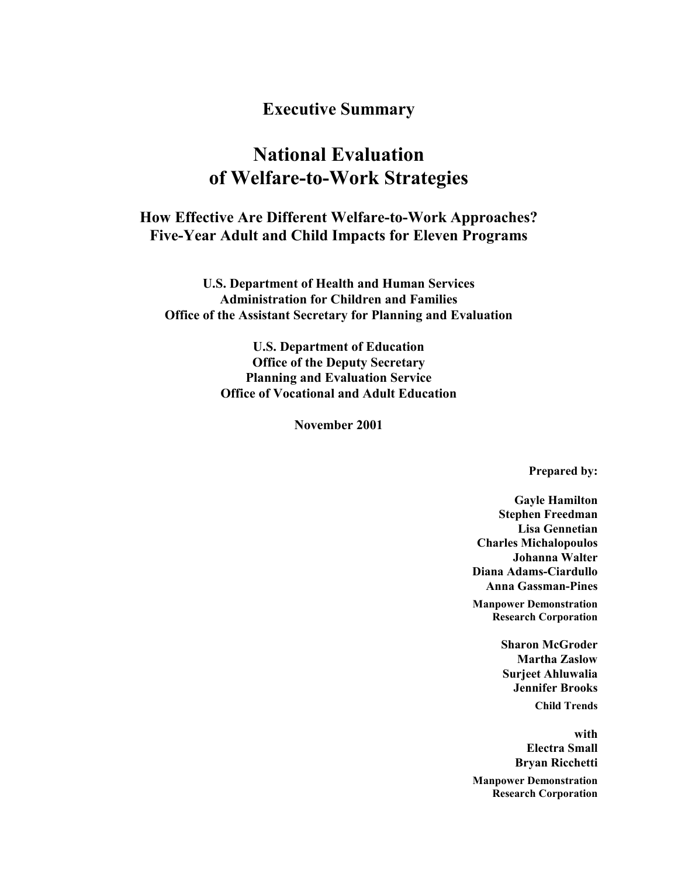# **Executive Summary**

# **National Evaluation of Welfare-to-Work Strategies**

# **How Effective Are Different Welfare-to-Work Approaches? Five-Year Adult and Child Impacts for Eleven Programs**

**U.S. Department of Health and Human Services Administration for Children and Families Office of the Assistant Secretary for Planning and Evaluation** 

> **U.S. Department of Education Office of the Deputy Secretary Planning and Evaluation Service Office of Vocational and Adult Education**

> > **November 2001**

**Prepared by:** 

**Gayle Hamilton Stephen Freedman Lisa Gennetian Charles Michalopoulos Johanna Walter Diana Adams-Ciardullo Anna Gassman-Pines Manpower Demonstration Research Corporation** 

> **Sharon McGroder Martha Zaslow Surjeet Ahluwalia Jennifer Brooks Child Trends**

**with Electra Small Bryan Ricchetti Manpower Demonstration Research Corporation**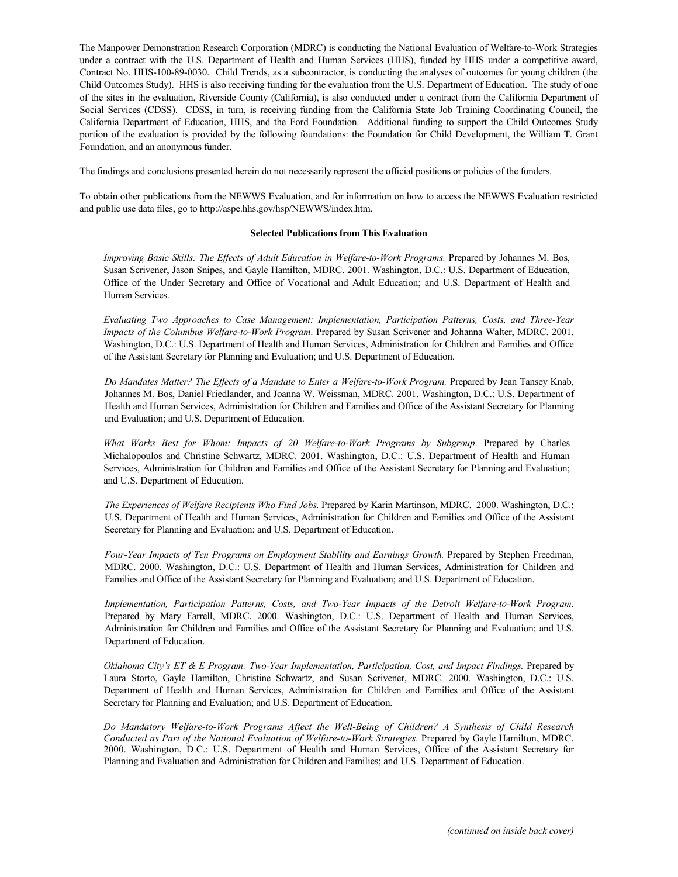The Manpower Demonstration Research Corporation (MDRC) is conducting the National Evaluation of Welfare-to-Work Strategies under a contract with the U.S. Department of Health and Human Services (HHS), funded by HHS under a competitive award, Contract No. HHS-100-89-0030. Child Trends, as a subcontractor, is conducting the analyses of outcomes for young children (the Child Outcomes Study). HHS is also receiving funding for the evaluation from the U.S. Department of Education. The study of one of the sites in the evaluation, Riverside County (California), is also conducted under a contract from the California Department of Social Services (CDSS). CDSS, in turn, is receiving funding from the California State Job Training Coordinating Council, the California Department of Education, HHS, and the Ford Foundation. Additional funding to support the Child Outcomes Study portion of the evaluation is provided by the following foundations: the Foundation for Child Development, the William T. Grant Foundation, and an anonymous funder.

The findings and conclusions presented herein do not necessarily represent the official positions or policies of the funders.

To obtain other publications from the NEWWS Evaluation, and for information on how to access the NEWWS Evaluation restricted and public use data files, go to http://aspe.hhs.gov/hsp/NEWWS/index.htm.

#### **Selected Publications from This Evaluation**

*Improving Basic Skills: The Effects of Adult Education in Welfare-to-Work Programs.* Prepared by Johannes M. Bos, Susan Scrivener, Jason Snipes, and Gayle Hamilton, MDRC. 2001. Washington, D.C.: U.S. Department of Education, Office of the Under Secretary and Office of Vocational and Adult Education; and U.S. Department of Health and Human Services.

*Evaluating Two Approaches to Case Management: Implementation, Participation Patterns, Costs, and Three-Year Impacts of the Columbus Welfare-to-Work Program*. Prepared by Susan Scrivener and Johanna Walter, MDRC. 2001. Washington, D.C.: U.S. Department of Health and Human Services, Administration for Children and Families and Office of the Assistant Secretary for Planning and Evaluation; and U.S. Department of Education.

*Do Mandates Matter? The Effects of a Mandate to Enter a Welfare-to-Work Program.* Prepared by Jean Tansey Knab, Johannes M. Bos, Daniel Friedlander, and Joanna W. Weissman, MDRC. 2001. Washington, D.C.: U.S. Department of Health and Human Services, Administration for Children and Families and Office of the Assistant Secretary for Planning and Evaluation; and U.S. Department of Education.

*What Works Best for Whom: Impacts of 20 Welfare-to-Work Programs by Subgroup*. Prepared by Charles Michalopoulos and Christine Schwartz, MDRC. 2001. Washington, D.C.: U.S. Department of Health and Human Services, Administration for Children and Families and Office of the Assistant Secretary for Planning and Evaluation; and U.S. Department of Education.

*The Experiences of Welfare Recipients Who Find Jobs.* Prepared by Karin Martinson, MDRC. 2000. Washington, D.C.: U.S. Department of Health and Human Services, Administration for Children and Families and Office of the Assistant Secretary for Planning and Evaluation; and U.S. Department of Education.

Four-Year Impacts of Ten Programs on Employment Stability and Earnings Growth. Prepared by Stephen Freedman, MDRC. 2000. Washington, D.C.: U.S. Department of Health and Human Services, Administration for Children and Families and Office of the Assistant Secretary for Planning and Evaluation; and U.S. Department of Education.

*Implementation, Participation Patterns, Costs, and Two-Year Impacts of the Detroit Welfare-to-Work Program*. Prepared by Mary Farrell, MDRC. 2000. Washington, D.C.: U.S. Department of Health and Human Services, Administration for Children and Families and Office of the Assistant Secretary for Planning and Evaluation; and U.S. Department of Education.

*Oklahoma City's ET & E Program: Two-Year Implementation, Participation, Cost, and Impact Findings.* Prepared by Laura Storto, Gayle Hamilton, Christine Schwartz, and Susan Scrivener, MDRC. 2000. Washington, D.C.: U.S. Department of Health and Human Services, Administration for Children and Families and Office of the Assistant Secretary for Planning and Evaluation; and U.S. Department of Education.

*Do Mandatory Welfare-to-Work Programs Affect the Well-Being of Children? A Synthesis of Child Research Conducted as Part of the National Evaluation of Welfare-to-Work Strategies.* Prepared by Gayle Hamilton, MDRC. 2000. Washington, D.C.: U.S. Department of Health and Human Services, Office of the Assistant Secretary for Planning and Evaluation and Administration for Children and Families; and U.S. Department of Education.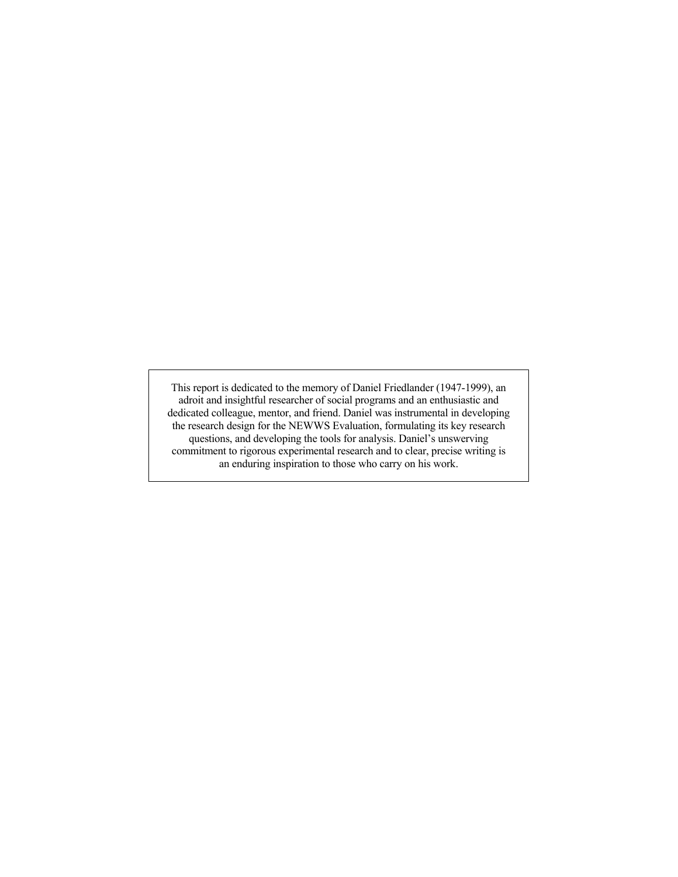This report is dedicated to the memory of Daniel Friedlander (1947-1999), an adroit and insightful researcher of social programs and an enthusiastic and dedicated colleague, mentor, and friend. Daniel was instrumental in developing the research design for the NEWWS Evaluation, formulating its key research questions, and developing the tools for analysis. Daniel's unswerving commitment to rigorous experimental research and to clear, precise writing is an enduring inspiration to those who carry on his work.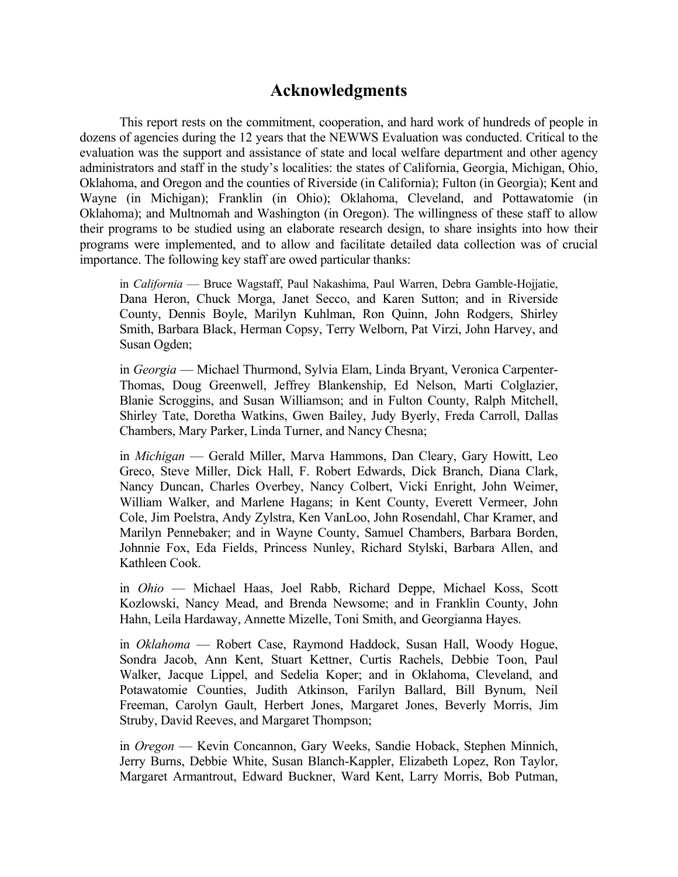# **Acknowledgments**

This report rests on the commitment, cooperation, and hard work of hundreds of people in dozens of agencies during the 12 years that the NEWWS Evaluation was conducted. Critical to the evaluation was the support and assistance of state and local welfare department and other agency administrators and staff in the study's localities: the states of California, Georgia, Michigan, Ohio, Oklahoma, and Oregon and the counties of Riverside (in California); Fulton (in Georgia); Kent and Wayne (in Michigan); Franklin (in Ohio); Oklahoma, Cleveland, and Pottawatomie (in Oklahoma); and Multnomah and Washington (in Oregon). The willingness of these staff to allow their programs to be studied using an elaborate research design, to share insights into how their programs were implemented, and to allow and facilitate detailed data collection was of crucial importance. The following key staff are owed particular thanks:

in *California* — Bruce Wagstaff, Paul Nakashima, Paul Warren, Debra Gamble-Hojjatie, Dana Heron, Chuck Morga, Janet Secco, and Karen Sutton; and in Riverside County, Dennis Boyle, Marilyn Kuhlman, Ron Quinn, John Rodgers, Shirley Smith, Barbara Black, Herman Copsy, Terry Welborn, Pat Virzi, John Harvey, and Susan Ogden;

in *Georgia* — Michael Thurmond, Sylvia Elam, Linda Bryant, Veronica Carpenter-Thomas, Doug Greenwell, Jeffrey Blankenship, Ed Nelson, Marti Colglazier, Blanie Scroggins, and Susan Williamson; and in Fulton County, Ralph Mitchell, Shirley Tate, Doretha Watkins, Gwen Bailey, Judy Byerly, Freda Carroll, Dallas Chambers, Mary Parker, Linda Turner, and Nancy Chesna;

in *Michigan* — Gerald Miller, Marva Hammons, Dan Cleary, Gary Howitt, Leo Greco, Steve Miller, Dick Hall, F. Robert Edwards, Dick Branch, Diana Clark, Nancy Duncan, Charles Overbey, Nancy Colbert, Vicki Enright, John Weimer, William Walker, and Marlene Hagans; in Kent County, Everett Vermeer, John Cole, Jim Poelstra, Andy Zylstra, Ken VanLoo, John Rosendahl, Char Kramer, and Marilyn Pennebaker; and in Wayne County, Samuel Chambers, Barbara Borden, Johnnie Fox, Eda Fields, Princess Nunley, Richard Stylski, Barbara Allen, and Kathleen Cook.

in *Ohio* — Michael Haas, Joel Rabb, Richard Deppe, Michael Koss, Scott Kozlowski, Nancy Mead, and Brenda Newsome; and in Franklin County, John Hahn, Leila Hardaway, Annette Mizelle, Toni Smith, and Georgianna Hayes.

in *Oklahoma* — Robert Case, Raymond Haddock, Susan Hall, Woody Hogue, Sondra Jacob, Ann Kent, Stuart Kettner, Curtis Rachels, Debbie Toon, Paul Walker, Jacque Lippel, and Sedelia Koper; and in Oklahoma, Cleveland, and Potawatomie Counties, Judith Atkinson, Farilyn Ballard, Bill Bynum, Neil Freeman, Carolyn Gault, Herbert Jones, Margaret Jones, Beverly Morris, Jim Struby, David Reeves, and Margaret Thompson;

in *Oregon* — Kevin Concannon, Gary Weeks, Sandie Hoback, Stephen Minnich, Jerry Burns, Debbie White, Susan Blanch-Kappler, Elizabeth Lopez, Ron Taylor, Margaret Armantrout, Edward Buckner, Ward Kent, Larry Morris, Bob Putman,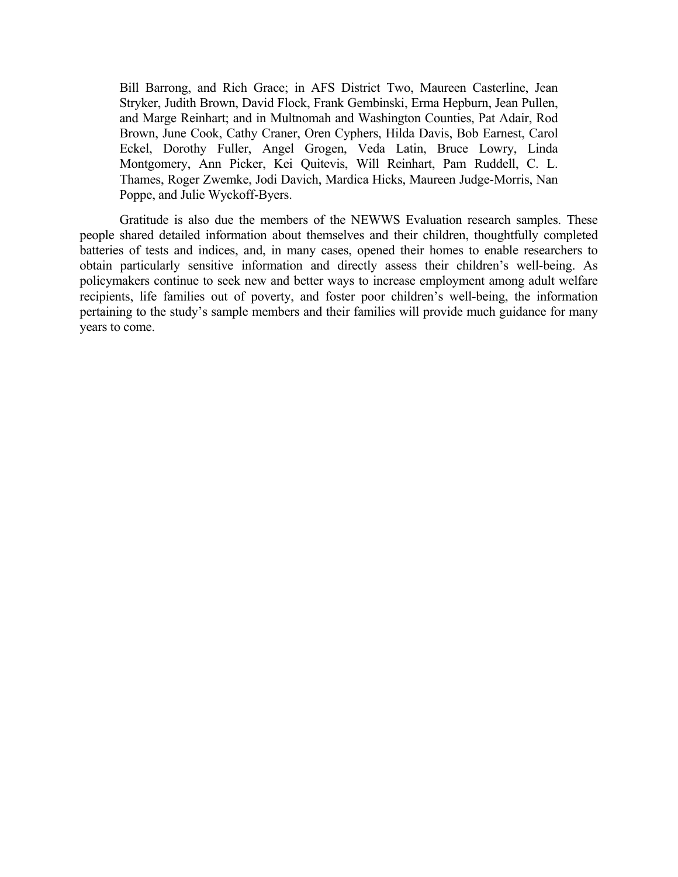Bill Barrong, and Rich Grace; in AFS District Two, Maureen Casterline, Jean Stryker, Judith Brown, David Flock, Frank Gembinski, Erma Hepburn, Jean Pullen, and Marge Reinhart; and in Multnomah and Washington Counties, Pat Adair, Rod Brown, June Cook, Cathy Craner, Oren Cyphers, Hilda Davis, Bob Earnest, Carol Eckel, Dorothy Fuller, Angel Grogen, Veda Latin, Bruce Lowry, Linda Montgomery, Ann Picker, Kei Quitevis, Will Reinhart, Pam Ruddell, C. L. Thames, Roger Zwemke, Jodi Davich, Mardica Hicks, Maureen Judge-Morris, Nan Poppe, and Julie Wyckoff-Byers.

Gratitude is also due the members of the NEWWS Evaluation research samples. These people shared detailed information about themselves and their children, thoughtfully completed batteries of tests and indices, and, in many cases, opened their homes to enable researchers to obtain particularly sensitive information and directly assess their children's well-being. As policymakers continue to seek new and better ways to increase employment among adult welfare recipients, life families out of poverty, and foster poor children's well-being, the information pertaining to the study's sample members and their families will provide much guidance for many years to come.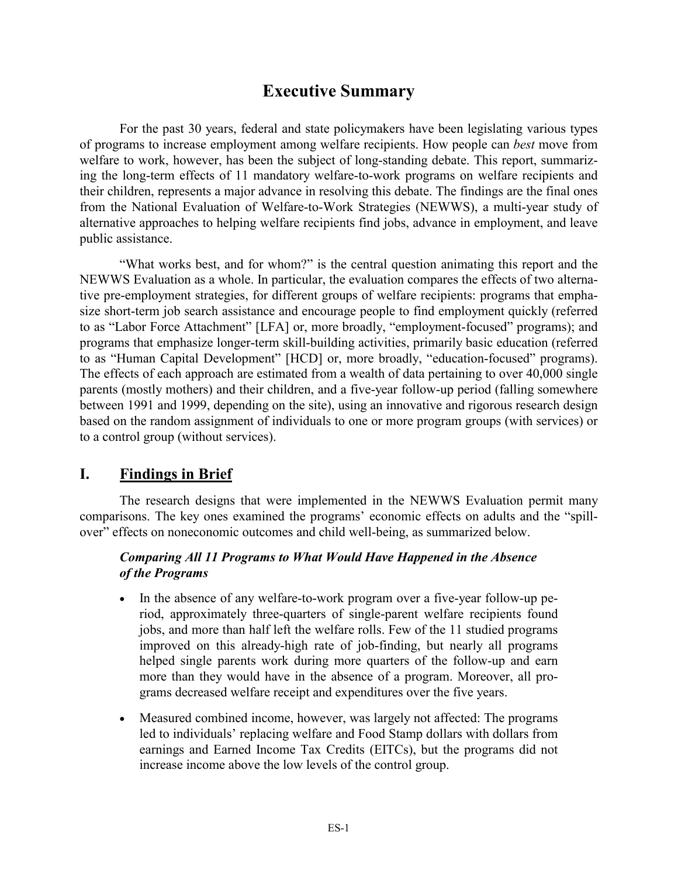# **Executive Summary**

 For the past 30 years, federal and state policymakers have been legislating various types of programs to increase employment among welfare recipients. How people can *best* move from welfare to work, however, has been the subject of long-standing debate. This report, summarizing the long-term effects of 11 mandatory welfare-to-work programs on welfare recipients and their children, represents a major advance in resolving this debate. The findings are the final ones from the National Evaluation of Welfare-to-Work Strategies (NEWWS), a multi-year study of alternative approaches to helping welfare recipients find jobs, advance in employment, and leave public assistance.

"What works best, and for whom?" is the central question animating this report and the NEWWS Evaluation as a whole. In particular, the evaluation compares the effects of two alternative pre-employment strategies, for different groups of welfare recipients: programs that emphasize short-term job search assistance and encourage people to find employment quickly (referred to as "Labor Force Attachment" [LFA] or, more broadly, "employment-focused" programs); and programs that emphasize longer-term skill-building activities, primarily basic education (referred to as "Human Capital Development" [HCD] or, more broadly, "education-focused" programs). The effects of each approach are estimated from a wealth of data pertaining to over 40,000 single parents (mostly mothers) and their children, and a five-year follow-up period (falling somewhere between 1991 and 1999, depending on the site), using an innovative and rigorous research design based on the random assignment of individuals to one or more program groups (with services) or to a control group (without services).

# **I. Findings in Brief**

The research designs that were implemented in the NEWWS Evaluation permit many comparisons. The key ones examined the programs' economic effects on adults and the "spillover" effects on noneconomic outcomes and child well-being, as summarized below.

## *Comparing All 11 Programs to What Would Have Happened in the Absence of the Programs*

- In the absence of any welfare-to-work program over a five-year follow-up period, approximately three-quarters of single-parent welfare recipients found jobs, and more than half left the welfare rolls. Few of the 11 studied programs improved on this already-high rate of job-finding, but nearly all programs helped single parents work during more quarters of the follow-up and earn more than they would have in the absence of a program. Moreover, all programs decreased welfare receipt and expenditures over the five years.
- Measured combined income, however, was largely not affected: The programs led to individuals' replacing welfare and Food Stamp dollars with dollars from earnings and Earned Income Tax Credits (EITCs), but the programs did not increase income above the low levels of the control group.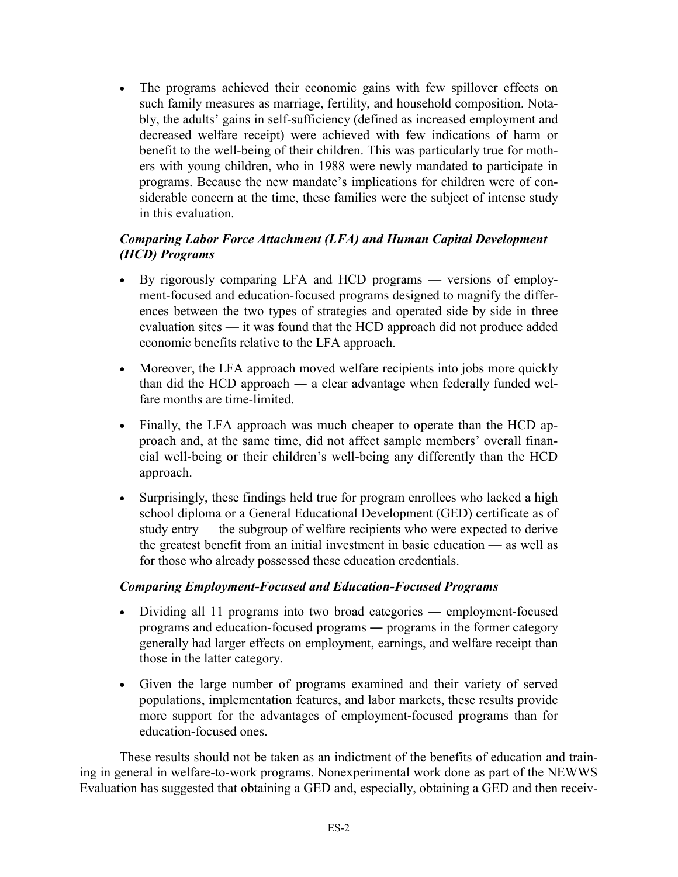- The programs achieved their economic gains with few spillover effects on such family measures as marriage, fertility, and household composition. Notably, the adults' gains in self-sufficiency (defined as increased employment and decreased welfare receipt) were achieved with few indications of harm or benefit to the well-being of their children. This was particularly true for mothers with young children, who in 1988 were newly mandated to participate in programs. Because the new mandate's implications for children were of considerable concern at the time, these families were the subject of intense study in this evaluation.

# *Comparing Labor Force Attachment (LFA) and Human Capital Development (HCD) Programs*

- By rigorously comparing LFA and HCD programs versions of employment-focused and education-focused programs designed to magnify the differences between the two types of strategies and operated side by side in three evaluation sites — it was found that the HCD approach did not produce added economic benefits relative to the LFA approach.
- Moreover, the LFA approach moved welfare recipients into jobs more quickly than did the HCD approach ― a clear advantage when federally funded welfare months are time-limited.
- Finally, the LFA approach was much cheaper to operate than the HCD approach and, at the same time, did not affect sample members' overall financial well-being or their children's well-being any differently than the HCD approach.
- Surprisingly, these findings held true for program enrollees who lacked a high school diploma or a General Educational Development (GED) certificate as of study entry — the subgroup of welfare recipients who were expected to derive the greatest benefit from an initial investment in basic education — as well as for those who already possessed these education credentials.

## *Comparing Employment-Focused and Education-Focused Programs*

- Dividing all 11 programs into two broad categories ― employment-focused programs and education-focused programs ― programs in the former category generally had larger effects on employment, earnings, and welfare receipt than those in the latter category.
- Given the large number of programs examined and their variety of served populations, implementation features, and labor markets, these results provide more support for the advantages of employment-focused programs than for education-focused ones.

These results should not be taken as an indictment of the benefits of education and training in general in welfare-to-work programs. Nonexperimental work done as part of the NEWWS Evaluation has suggested that obtaining a GED and, especially, obtaining a GED and then receiv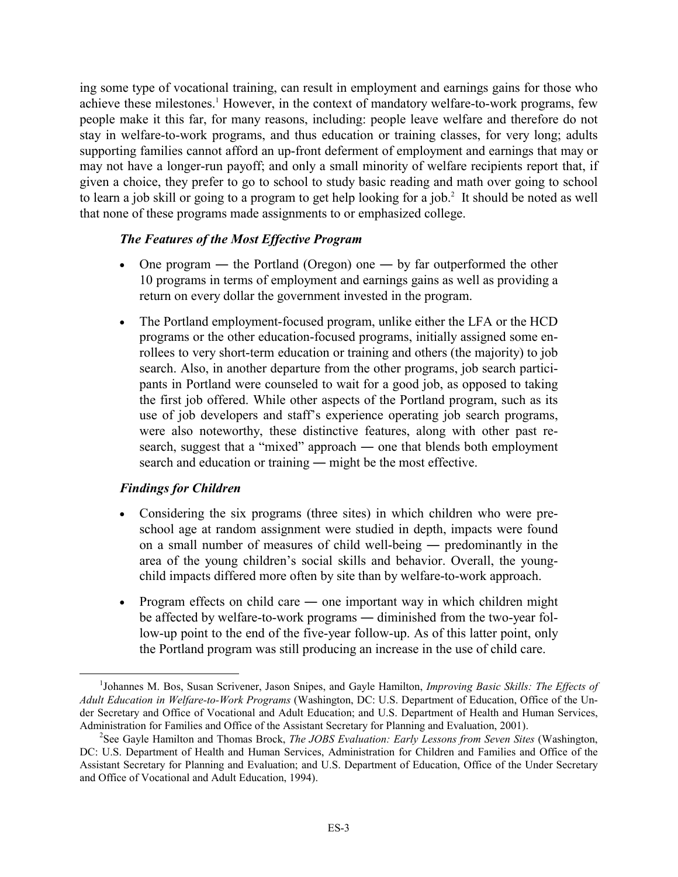ing some type of vocational training, can result in employment and earnings gains for those who achieve these milestones.<sup>1</sup> However, in the context of mandatory welfare-to-work programs, few people make it this far, for many reasons, including: people leave welfare and therefore do not stay in welfare-to-work programs, and thus education or training classes, for very long; adults supporting families cannot afford an up-front deferment of employment and earnings that may or may not have a longer-run payoff; and only a small minority of welfare recipients report that, if given a choice, they prefer to go to school to study basic reading and math over going to school to learn a job skill or going to a program to get help looking for a job. $2$  It should be noted as well that none of these programs made assignments to or emphasized college.

## *The Features of the Most Effective Program*

- One program the Portland (Oregon) one by far outperformed the other 10 programs in terms of employment and earnings gains as well as providing a return on every dollar the government invested in the program.
- The Portland employment-focused program, unlike either the LFA or the HCD programs or the other education-focused programs, initially assigned some enrollees to very short-term education or training and others (the majority) to job search. Also, in another departure from the other programs, job search participants in Portland were counseled to wait for a good job, as opposed to taking the first job offered. While other aspects of the Portland program, such as its use of job developers and staff's experience operating job search programs, were also noteworthy, these distinctive features, along with other past research, suggest that a "mixed" approach ― one that blends both employment search and education or training — might be the most effective.

## *Findings for Children*

- Considering the six programs (three sites) in which children who were preschool age at random assignment were studied in depth, impacts were found on a small number of measures of child well-being ― predominantly in the area of the young children's social skills and behavior. Overall, the youngchild impacts differed more often by site than by welfare-to-work approach.
- Program effects on child care one important way in which children might be affected by welfare-to-work programs ― diminished from the two-year follow-up point to the end of the five-year follow-up. As of this latter point, only the Portland program was still producing an increase in the use of child care.

 <sup>1</sup> <sup>1</sup>Johannes M. Bos, Susan Scrivener, Jason Snipes, and Gayle Hamilton, *Improving Basic Skills: The Effects of Adult Education in Welfare-to-Work Programs* (Washington, DC: U.S. Department of Education, Office of the Under Secretary and Office of Vocational and Adult Education; and U.S. Department of Health and Human Services, Administration for Families and Office of the Assistant Secretary for Planning and Evaluation, 2001). 2

<sup>&</sup>lt;sup>2</sup>See Gayle Hamilton and Thomas Brock, *The JOBS Evaluation: Early Lessons from Seven Sites* (Washington, DC: U.S. Department of Health and Human Services, Administration for Children and Families and Office of the Assistant Secretary for Planning and Evaluation; and U.S. Department of Education, Office of the Under Secretary and Office of Vocational and Adult Education, 1994).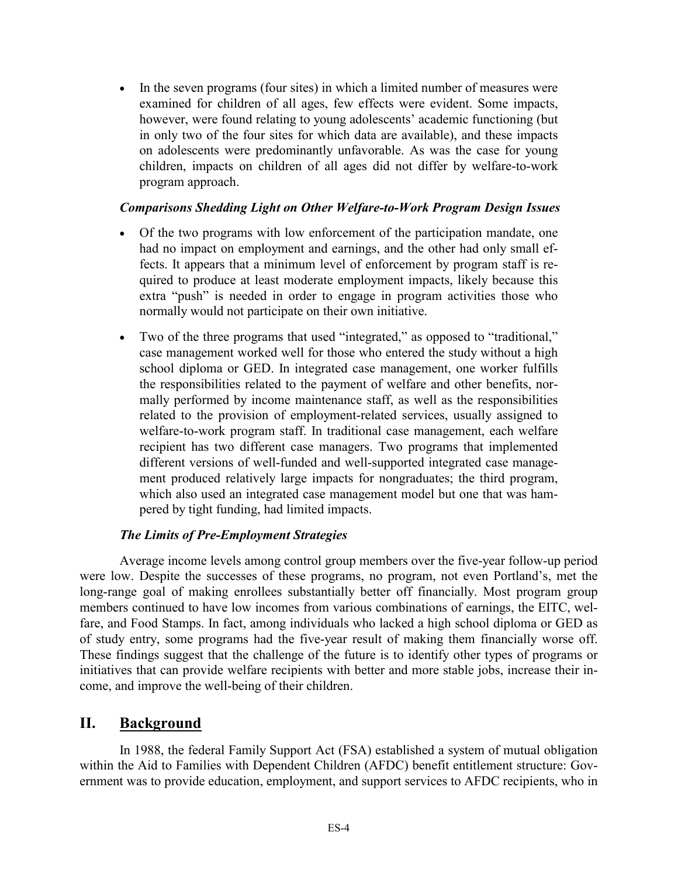- In the seven programs (four sites) in which a limited number of measures were examined for children of all ages, few effects were evident. Some impacts, however, were found relating to young adolescents' academic functioning (but in only two of the four sites for which data are available), and these impacts on adolescents were predominantly unfavorable. As was the case for young children, impacts on children of all ages did not differ by welfare-to-work program approach.

### *Comparisons Shedding Light on Other Welfare-to-Work Program Design Issues*

- Of the two programs with low enforcement of the participation mandate, one had no impact on employment and earnings, and the other had only small effects. It appears that a minimum level of enforcement by program staff is required to produce at least moderate employment impacts, likely because this extra "push" is needed in order to engage in program activities those who normally would not participate on their own initiative.
- Two of the three programs that used "integrated," as opposed to "traditional," case management worked well for those who entered the study without a high school diploma or GED. In integrated case management, one worker fulfills the responsibilities related to the payment of welfare and other benefits, normally performed by income maintenance staff, as well as the responsibilities related to the provision of employment-related services, usually assigned to welfare-to-work program staff. In traditional case management, each welfare recipient has two different case managers. Two programs that implemented different versions of well-funded and well-supported integrated case management produced relatively large impacts for nongraduates; the third program, which also used an integrated case management model but one that was hampered by tight funding, had limited impacts.

## *The Limits of Pre-Employment Strategies*

Average income levels among control group members over the five-year follow-up period were low. Despite the successes of these programs, no program, not even Portland's, met the long-range goal of making enrollees substantially better off financially. Most program group members continued to have low incomes from various combinations of earnings, the EITC, welfare, and Food Stamps. In fact, among individuals who lacked a high school diploma or GED as of study entry, some programs had the five-year result of making them financially worse off. These findings suggest that the challenge of the future is to identify other types of programs or initiatives that can provide welfare recipients with better and more stable jobs, increase their income, and improve the well-being of their children.

## **II. Background**

In 1988, the federal Family Support Act (FSA) established a system of mutual obligation within the Aid to Families with Dependent Children (AFDC) benefit entitlement structure: Government was to provide education, employment, and support services to AFDC recipients, who in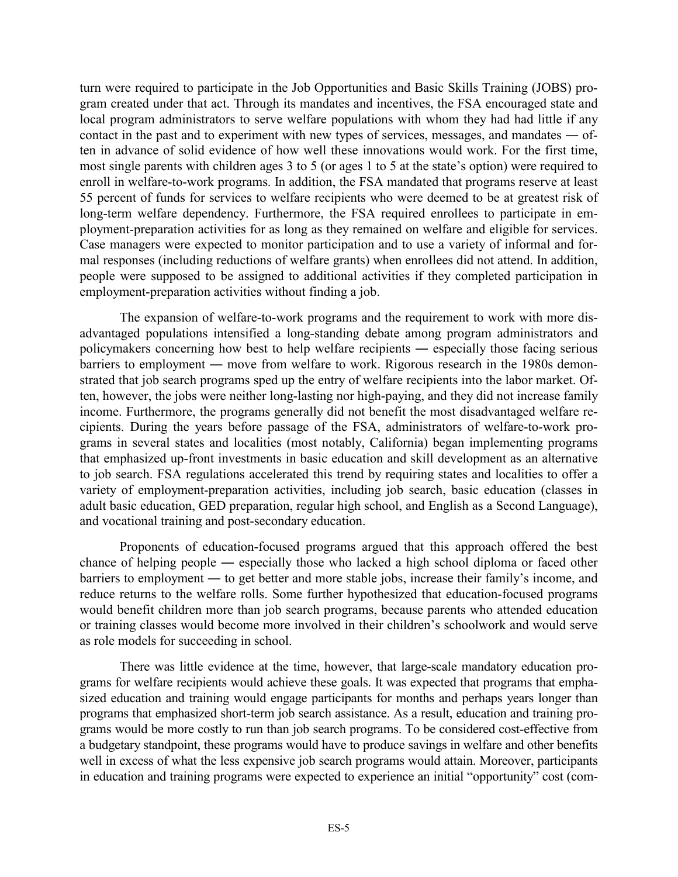turn were required to participate in the Job Opportunities and Basic Skills Training (JOBS) program created under that act. Through its mandates and incentives, the FSA encouraged state and local program administrators to serve welfare populations with whom they had had little if any contact in the past and to experiment with new types of services, messages, and mandates ― often in advance of solid evidence of how well these innovations would work. For the first time, most single parents with children ages 3 to 5 (or ages 1 to 5 at the state's option) were required to enroll in welfare-to-work programs. In addition, the FSA mandated that programs reserve at least 55 percent of funds for services to welfare recipients who were deemed to be at greatest risk of long-term welfare dependency. Furthermore, the FSA required enrollees to participate in employment-preparation activities for as long as they remained on welfare and eligible for services. Case managers were expected to monitor participation and to use a variety of informal and formal responses (including reductions of welfare grants) when enrollees did not attend. In addition, people were supposed to be assigned to additional activities if they completed participation in employment-preparation activities without finding a job.

The expansion of welfare-to-work programs and the requirement to work with more disadvantaged populations intensified a long-standing debate among program administrators and policymakers concerning how best to help welfare recipients ― especially those facing serious barriers to employment ― move from welfare to work. Rigorous research in the 1980s demonstrated that job search programs sped up the entry of welfare recipients into the labor market. Often, however, the jobs were neither long-lasting nor high-paying, and they did not increase family income. Furthermore, the programs generally did not benefit the most disadvantaged welfare recipients. During the years before passage of the FSA, administrators of welfare-to-work programs in several states and localities (most notably, California) began implementing programs that emphasized up-front investments in basic education and skill development as an alternative to job search. FSA regulations accelerated this trend by requiring states and localities to offer a variety of employment-preparation activities, including job search, basic education (classes in adult basic education, GED preparation, regular high school, and English as a Second Language), and vocational training and post-secondary education.

Proponents of education-focused programs argued that this approach offered the best chance of helping people ― especially those who lacked a high school diploma or faced other barriers to employment ― to get better and more stable jobs, increase their family's income, and reduce returns to the welfare rolls. Some further hypothesized that education-focused programs would benefit children more than job search programs, because parents who attended education or training classes would become more involved in their children's schoolwork and would serve as role models for succeeding in school.

There was little evidence at the time, however, that large-scale mandatory education programs for welfare recipients would achieve these goals. It was expected that programs that emphasized education and training would engage participants for months and perhaps years longer than programs that emphasized short-term job search assistance. As a result, education and training programs would be more costly to run than job search programs. To be considered cost-effective from a budgetary standpoint, these programs would have to produce savings in welfare and other benefits well in excess of what the less expensive job search programs would attain. Moreover, participants in education and training programs were expected to experience an initial "opportunity" cost (com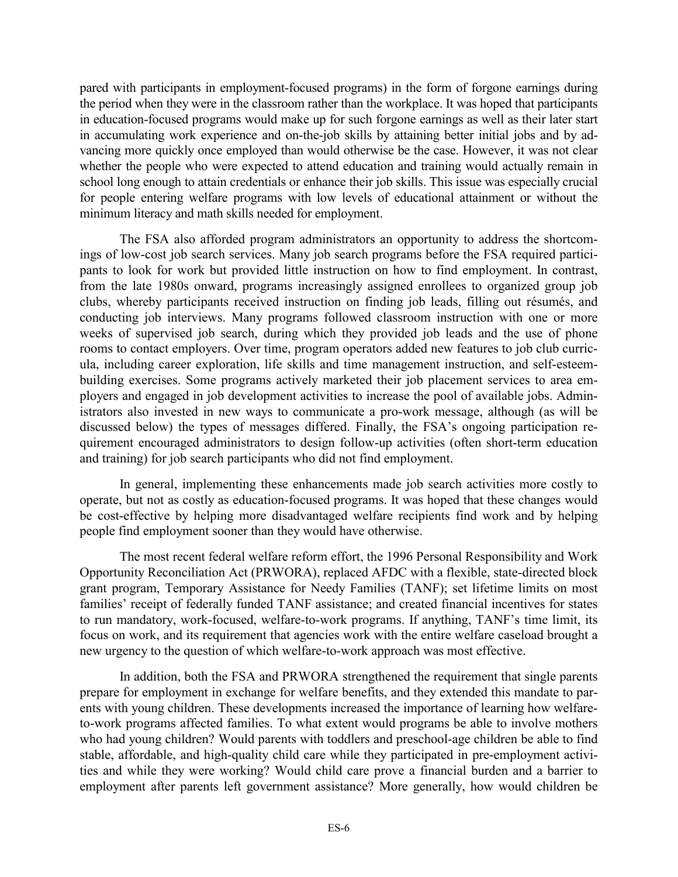pared with participants in employment-focused programs) in the form of forgone earnings during the period when they were in the classroom rather than the workplace. It was hoped that participants in education-focused programs would make up for such forgone earnings as well as their later start in accumulating work experience and on-the-job skills by attaining better initial jobs and by advancing more quickly once employed than would otherwise be the case. However, it was not clear whether the people who were expected to attend education and training would actually remain in school long enough to attain credentials or enhance their job skills. This issue was especially crucial for people entering welfare programs with low levels of educational attainment or without the minimum literacy and math skills needed for employment.

The FSA also afforded program administrators an opportunity to address the shortcomings of low-cost job search services. Many job search programs before the FSA required participants to look for work but provided little instruction on how to find employment. In contrast, from the late 1980s onward, programs increasingly assigned enrollees to organized group job clubs, whereby participants received instruction on finding job leads, filling out résumés, and conducting job interviews. Many programs followed classroom instruction with one or more weeks of supervised job search, during which they provided job leads and the use of phone rooms to contact employers. Over time, program operators added new features to job club curricula, including career exploration, life skills and time management instruction, and self-esteembuilding exercises. Some programs actively marketed their job placement services to area employers and engaged in job development activities to increase the pool of available jobs. Administrators also invested in new ways to communicate a pro-work message, although (as will be discussed below) the types of messages differed. Finally, the FSA's ongoing participation requirement encouraged administrators to design follow-up activities (often short-term education and training) for job search participants who did not find employment.

In general, implementing these enhancements made job search activities more costly to operate, but not as costly as education-focused programs. It was hoped that these changes would be cost-effective by helping more disadvantaged welfare recipients find work and by helping people find employment sooner than they would have otherwise.

The most recent federal welfare reform effort, the 1996 Personal Responsibility and Work Opportunity Reconciliation Act (PRWORA), replaced AFDC with a flexible, state-directed block grant program, Temporary Assistance for Needy Families (TANF); set lifetime limits on most families' receipt of federally funded TANF assistance; and created financial incentives for states to run mandatory, work-focused, welfare-to-work programs. If anything, TANF's time limit, its focus on work, and its requirement that agencies work with the entire welfare caseload brought a new urgency to the question of which welfare-to-work approach was most effective.

In addition, both the FSA and PRWORA strengthened the requirement that single parents prepare for employment in exchange for welfare benefits, and they extended this mandate to parents with young children. These developments increased the importance of learning how welfareto-work programs affected families. To what extent would programs be able to involve mothers who had young children? Would parents with toddlers and preschool-age children be able to find stable, affordable, and high-quality child care while they participated in pre-employment activities and while they were working? Would child care prove a financial burden and a barrier to employment after parents left government assistance? More generally, how would children be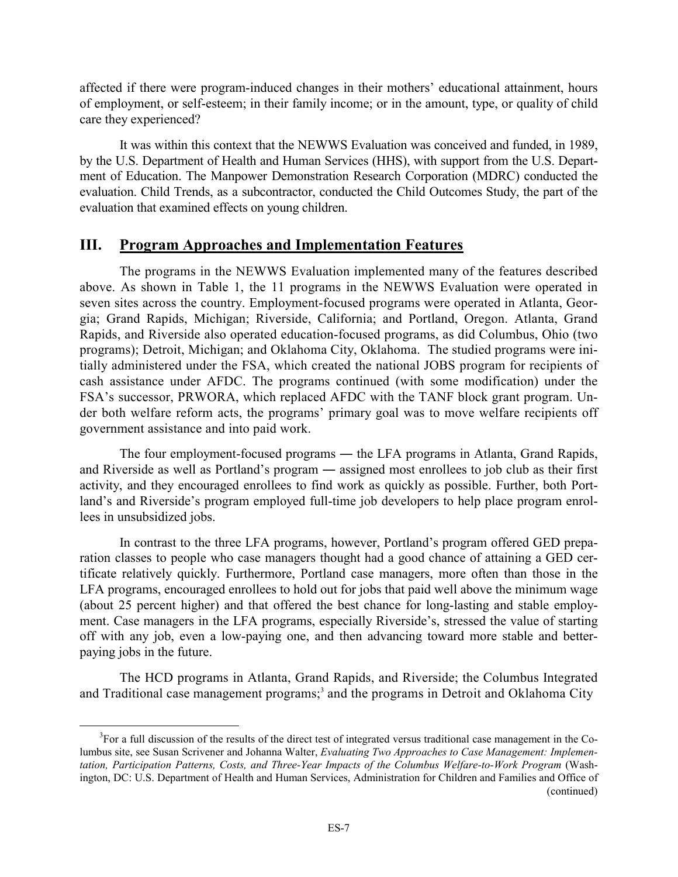affected if there were program-induced changes in their mothers' educational attainment, hours of employment, or self-esteem; in their family income; or in the amount, type, or quality of child care they experienced?

It was within this context that the NEWWS Evaluation was conceived and funded, in 1989, by the U.S. Department of Health and Human Services (HHS), with support from the U.S. Department of Education. The Manpower Demonstration Research Corporation (MDRC) conducted the evaluation. Child Trends, as a subcontractor, conducted the Child Outcomes Study, the part of the evaluation that examined effects on young children.

# **III. Program Approaches and Implementation Features**

 The programs in the NEWWS Evaluation implemented many of the features described above. As shown in Table 1, the 11 programs in the NEWWS Evaluation were operated in seven sites across the country. Employment-focused programs were operated in Atlanta, Georgia; Grand Rapids, Michigan; Riverside, California; and Portland, Oregon. Atlanta, Grand Rapids, and Riverside also operated education-focused programs, as did Columbus, Ohio (two programs); Detroit, Michigan; and Oklahoma City, Oklahoma. The studied programs were initially administered under the FSA, which created the national JOBS program for recipients of cash assistance under AFDC. The programs continued (with some modification) under the FSA's successor, PRWORA, which replaced AFDC with the TANF block grant program. Under both welfare reform acts, the programs' primary goal was to move welfare recipients off government assistance and into paid work.

The four employment-focused programs — the LFA programs in Atlanta, Grand Rapids, and Riverside as well as Portland's program ― assigned most enrollees to job club as their first activity, and they encouraged enrollees to find work as quickly as possible. Further, both Portland's and Riverside's program employed full-time job developers to help place program enrollees in unsubsidized jobs.

 In contrast to the three LFA programs, however, Portland's program offered GED preparation classes to people who case managers thought had a good chance of attaining a GED certificate relatively quickly. Furthermore, Portland case managers, more often than those in the LFA programs, encouraged enrollees to hold out for jobs that paid well above the minimum wage (about 25 percent higher) and that offered the best chance for long-lasting and stable employment. Case managers in the LFA programs, especially Riverside's, stressed the value of starting off with any job, even a low-paying one, and then advancing toward more stable and betterpaying jobs in the future.

 The HCD programs in Atlanta, Grand Rapids, and Riverside; the Columbus Integrated and Traditional case management programs;<sup>3</sup> and the programs in Detroit and Oklahoma City

 <sup>3</sup>  ${}^{3}$ For a full discussion of the results of the direct test of integrated versus traditional case management in the Columbus site, see Susan Scrivener and Johanna Walter, *Evaluating Two Approaches to Case Management: Implementation, Participation Patterns, Costs, and Three-Year Impacts of the Columbus Welfare-to-Work Program* (Washington, DC: U.S. Department of Health and Human Services, Administration for Children and Families and Office of (continued)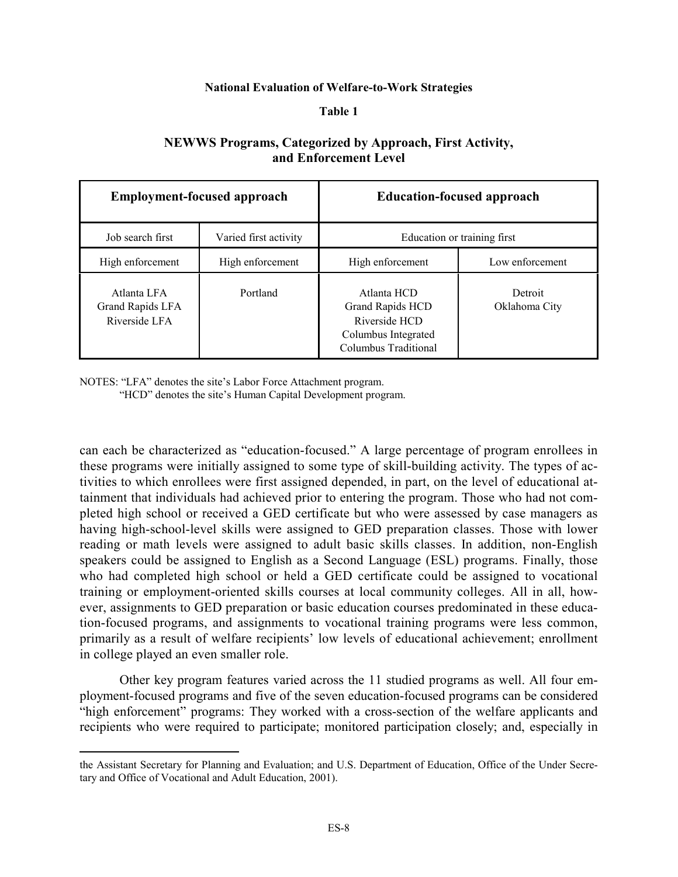#### **National Evaluation of Welfare-to-Work Strategies**

#### **Table 1**

### **NEWWS Programs, Categorized by Approach, First Activity, and Enforcement Level**

|                                                  | <b>Employment-focused approach</b> | <b>Education-focused approach</b>                                                                      |                          |  |  |  |  |
|--------------------------------------------------|------------------------------------|--------------------------------------------------------------------------------------------------------|--------------------------|--|--|--|--|
| Job search first                                 | Varied first activity              | Education or training first                                                                            |                          |  |  |  |  |
| High enforcement                                 | High enforcement                   | High enforcement                                                                                       | Low enforcement          |  |  |  |  |
| Atlanta LFA<br>Grand Rapids LFA<br>Riverside LFA | Portland                           | Atlanta HCD<br><b>Grand Rapids HCD</b><br>Riverside HCD<br>Columbus Integrated<br>Columbus Traditional | Detroit<br>Oklahoma City |  |  |  |  |

NOTES: "LFA" denotes the site's Labor Force Attachment program.

1

"HCD" denotes the site's Human Capital Development program.

can each be characterized as "education-focused." A large percentage of program enrollees in these programs were initially assigned to some type of skill-building activity. The types of activities to which enrollees were first assigned depended, in part, on the level of educational attainment that individuals had achieved prior to entering the program. Those who had not completed high school or received a GED certificate but who were assessed by case managers as having high-school-level skills were assigned to GED preparation classes. Those with lower reading or math levels were assigned to adult basic skills classes. In addition, non-English speakers could be assigned to English as a Second Language (ESL) programs. Finally, those who had completed high school or held a GED certificate could be assigned to vocational training or employment-oriented skills courses at local community colleges. All in all, however, assignments to GED preparation or basic education courses predominated in these education-focused programs, and assignments to vocational training programs were less common, primarily as a result of welfare recipients' low levels of educational achievement; enrollment in college played an even smaller role.

Other key program features varied across the 11 studied programs as well. All four employment-focused programs and five of the seven education-focused programs can be considered "high enforcement" programs: They worked with a cross-section of the welfare applicants and recipients who were required to participate; monitored participation closely; and, especially in

the Assistant Secretary for Planning and Evaluation; and U.S. Department of Education, Office of the Under Secretary and Office of Vocational and Adult Education, 2001).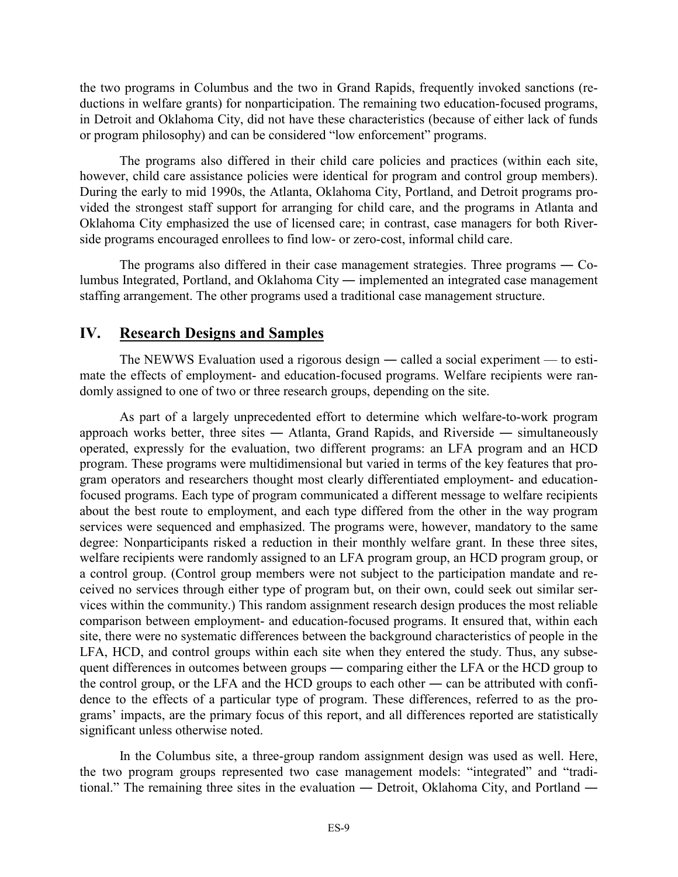the two programs in Columbus and the two in Grand Rapids, frequently invoked sanctions (reductions in welfare grants) for nonparticipation. The remaining two education-focused programs, in Detroit and Oklahoma City, did not have these characteristics (because of either lack of funds or program philosophy) and can be considered "low enforcement" programs.

The programs also differed in their child care policies and practices (within each site, however, child care assistance policies were identical for program and control group members). During the early to mid 1990s, the Atlanta, Oklahoma City, Portland, and Detroit programs provided the strongest staff support for arranging for child care, and the programs in Atlanta and Oklahoma City emphasized the use of licensed care; in contrast, case managers for both Riverside programs encouraged enrollees to find low- or zero-cost, informal child care.

The programs also differed in their case management strategies. Three programs ― Columbus Integrated, Portland, and Oklahoma City ― implemented an integrated case management staffing arrangement. The other programs used a traditional case management structure.

# **IV. Research Designs and Samples**

 The NEWWS Evaluation used a rigorous design ― called a social experiment — to estimate the effects of employment- and education-focused programs. Welfare recipients were randomly assigned to one of two or three research groups, depending on the site.

 As part of a largely unprecedented effort to determine which welfare-to-work program approach works better, three sites ― Atlanta, Grand Rapids, and Riverside ― simultaneously operated, expressly for the evaluation, two different programs: an LFA program and an HCD program. These programs were multidimensional but varied in terms of the key features that program operators and researchers thought most clearly differentiated employment- and educationfocused programs. Each type of program communicated a different message to welfare recipients about the best route to employment, and each type differed from the other in the way program services were sequenced and emphasized. The programs were, however, mandatory to the same degree: Nonparticipants risked a reduction in their monthly welfare grant. In these three sites, welfare recipients were randomly assigned to an LFA program group, an HCD program group, or a control group. (Control group members were not subject to the participation mandate and received no services through either type of program but, on their own, could seek out similar services within the community.) This random assignment research design produces the most reliable comparison between employment- and education-focused programs. It ensured that, within each site, there were no systematic differences between the background characteristics of people in the LFA, HCD, and control groups within each site when they entered the study. Thus, any subsequent differences in outcomes between groups ― comparing either the LFA or the HCD group to the control group, or the LFA and the HCD groups to each other ― can be attributed with confidence to the effects of a particular type of program. These differences, referred to as the programs' impacts, are the primary focus of this report, and all differences reported are statistically significant unless otherwise noted.

In the Columbus site, a three-group random assignment design was used as well. Here, the two program groups represented two case management models: "integrated" and "traditional." The remaining three sites in the evaluation ― Detroit, Oklahoma City, and Portland ―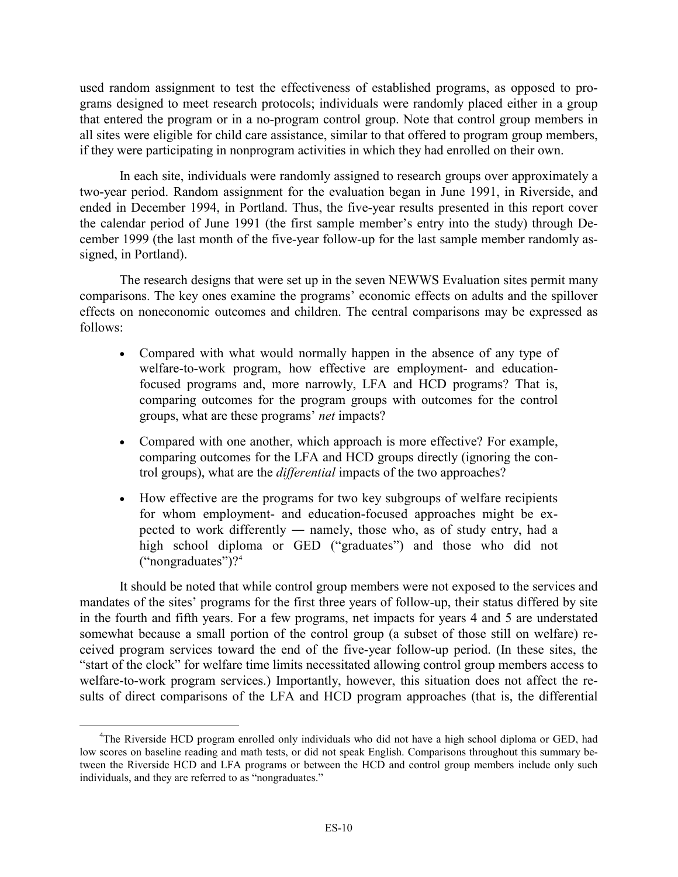used random assignment to test the effectiveness of established programs, as opposed to programs designed to meet research protocols; individuals were randomly placed either in a group that entered the program or in a no-program control group. Note that control group members in all sites were eligible for child care assistance, similar to that offered to program group members, if they were participating in nonprogram activities in which they had enrolled on their own.

In each site, individuals were randomly assigned to research groups over approximately a two-year period. Random assignment for the evaluation began in June 1991, in Riverside, and ended in December 1994, in Portland. Thus, the five-year results presented in this report cover the calendar period of June 1991 (the first sample member's entry into the study) through December 1999 (the last month of the five-year follow-up for the last sample member randomly assigned, in Portland).

The research designs that were set up in the seven NEWWS Evaluation sites permit many comparisons. The key ones examine the programs' economic effects on adults and the spillover effects on noneconomic outcomes and children. The central comparisons may be expressed as follows:

- Compared with what would normally happen in the absence of any type of welfare-to-work program, how effective are employment- and educationfocused programs and, more narrowly, LFA and HCD programs? That is, comparing outcomes for the program groups with outcomes for the control groups, what are these programs' *net* impacts?
- Compared with one another, which approach is more effective? For example, comparing outcomes for the LFA and HCD groups directly (ignoring the control groups), what are the *differential* impacts of the two approaches?
- How effective are the programs for two key subgroups of welfare recipients for whom employment- and education-focused approaches might be expected to work differently ― namely, those who, as of study entry, had a high school diploma or GED ("graduates") and those who did not  $("nongraduates")$ ?<sup>4</sup>

 It should be noted that while control group members were not exposed to the services and mandates of the sites' programs for the first three years of follow-up, their status differed by site in the fourth and fifth years. For a few programs, net impacts for years 4 and 5 are understated somewhat because a small portion of the control group (a subset of those still on welfare) received program services toward the end of the five-year follow-up period. (In these sites, the "start of the clock" for welfare time limits necessitated allowing control group members access to welfare-to-work program services.) Importantly, however, this situation does not affect the results of direct comparisons of the LFA and HCD program approaches (that is, the differential

 <sup>4</sup> <sup>4</sup>The Riverside HCD program enrolled only individuals who did not have a high school diploma or GED, had low scores on baseline reading and math tests, or did not speak English. Comparisons throughout this summary between the Riverside HCD and LFA programs or between the HCD and control group members include only such individuals, and they are referred to as "nongraduates."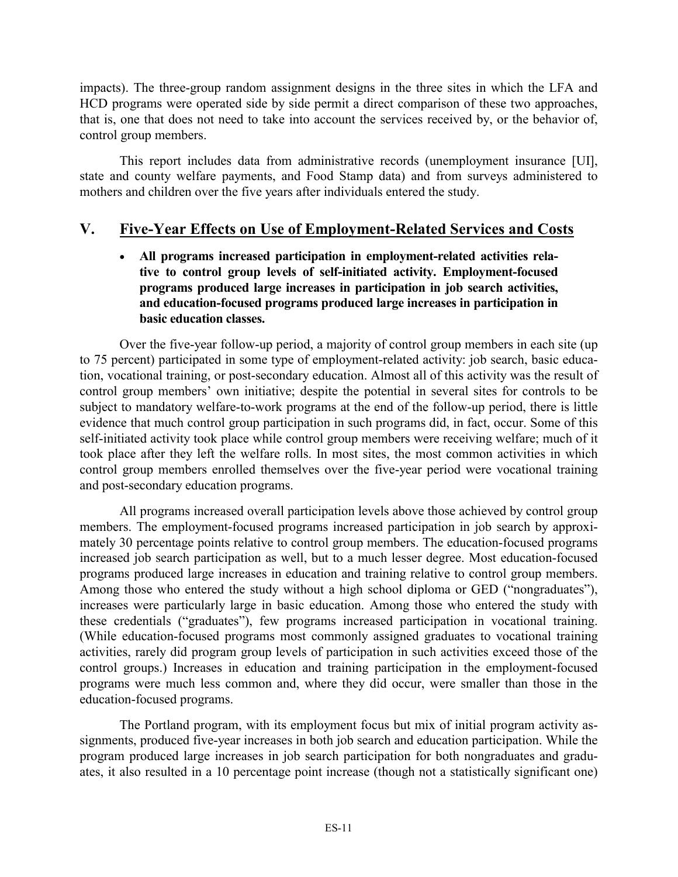impacts). The three-group random assignment designs in the three sites in which the LFA and HCD programs were operated side by side permit a direct comparison of these two approaches, that is, one that does not need to take into account the services received by, or the behavior of, control group members.

This report includes data from administrative records (unemployment insurance [UI], state and county welfare payments, and Food Stamp data) and from surveys administered to mothers and children over the five years after individuals entered the study.

# **V. Five-Year Effects on Use of Employment-Related Services and Costs**

- **All programs increased participation in employment-related activities relative to control group levels of self-initiated activity. Employment-focused programs produced large increases in participation in job search activities, and education-focused programs produced large increases in participation in basic education classes.** 

Over the five-year follow-up period, a majority of control group members in each site (up to 75 percent) participated in some type of employment-related activity: job search, basic education, vocational training, or post-secondary education. Almost all of this activity was the result of control group members' own initiative; despite the potential in several sites for controls to be subject to mandatory welfare-to-work programs at the end of the follow-up period, there is little evidence that much control group participation in such programs did, in fact, occur. Some of this self-initiated activity took place while control group members were receiving welfare; much of it took place after they left the welfare rolls. In most sites, the most common activities in which control group members enrolled themselves over the five-year period were vocational training and post-secondary education programs.

All programs increased overall participation levels above those achieved by control group members. The employment-focused programs increased participation in job search by approximately 30 percentage points relative to control group members. The education-focused programs increased job search participation as well, but to a much lesser degree. Most education-focused programs produced large increases in education and training relative to control group members. Among those who entered the study without a high school diploma or GED ("nongraduates"), increases were particularly large in basic education. Among those who entered the study with these credentials ("graduates"), few programs increased participation in vocational training. (While education-focused programs most commonly assigned graduates to vocational training activities, rarely did program group levels of participation in such activities exceed those of the control groups.) Increases in education and training participation in the employment-focused programs were much less common and, where they did occur, were smaller than those in the education-focused programs.

The Portland program, with its employment focus but mix of initial program activity assignments, produced five-year increases in both job search and education participation. While the program produced large increases in job search participation for both nongraduates and graduates, it also resulted in a 10 percentage point increase (though not a statistically significant one)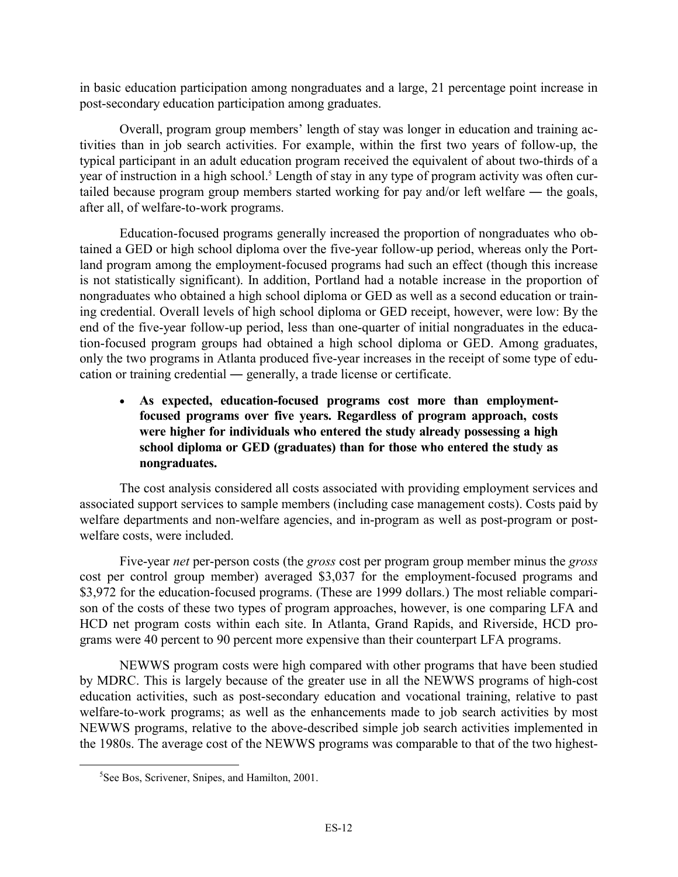in basic education participation among nongraduates and a large, 21 percentage point increase in post-secondary education participation among graduates.

Overall, program group members' length of stay was longer in education and training activities than in job search activities. For example, within the first two years of follow-up, the typical participant in an adult education program received the equivalent of about two-thirds of a year of instruction in a high school.<sup>5</sup> Length of stay in any type of program activity was often curtailed because program group members started working for pay and/or left welfare ― the goals, after all, of welfare-to-work programs.

Education-focused programs generally increased the proportion of nongraduates who obtained a GED or high school diploma over the five-year follow-up period, whereas only the Portland program among the employment-focused programs had such an effect (though this increase is not statistically significant). In addition, Portland had a notable increase in the proportion of nongraduates who obtained a high school diploma or GED as well as a second education or training credential. Overall levels of high school diploma or GED receipt, however, were low: By the end of the five-year follow-up period, less than one-quarter of initial nongraduates in the education-focused program groups had obtained a high school diploma or GED. Among graduates, only the two programs in Atlanta produced five-year increases in the receipt of some type of education or training credential ― generally, a trade license or certificate.

- **As expected, education-focused programs cost more than employmentfocused programs over five years. Regardless of program approach, costs were higher for individuals who entered the study already possessing a high school diploma or GED (graduates) than for those who entered the study as nongraduates.** 

The cost analysis considered all costs associated with providing employment services and associated support services to sample members (including case management costs). Costs paid by welfare departments and non-welfare agencies, and in-program as well as post-program or postwelfare costs, were included.

Five-year *net* per-person costs (the *gross* cost per program group member minus the *gross*  cost per control group member) averaged \$3,037 for the employment-focused programs and \$3,972 for the education-focused programs. (These are 1999 dollars.) The most reliable comparison of the costs of these two types of program approaches, however, is one comparing LFA and HCD net program costs within each site. In Atlanta, Grand Rapids, and Riverside, HCD programs were 40 percent to 90 percent more expensive than their counterpart LFA programs.

NEWWS program costs were high compared with other programs that have been studied by MDRC. This is largely because of the greater use in all the NEWWS programs of high-cost education activities, such as post-secondary education and vocational training, relative to past welfare-to-work programs; as well as the enhancements made to job search activities by most NEWWS programs, relative to the above-described simple job search activities implemented in the 1980s. The average cost of the NEWWS programs was comparable to that of the two highest-

 $rac{1}{5}$  ${}^{5}$ See Bos, Scrivener, Snipes, and Hamilton, 2001.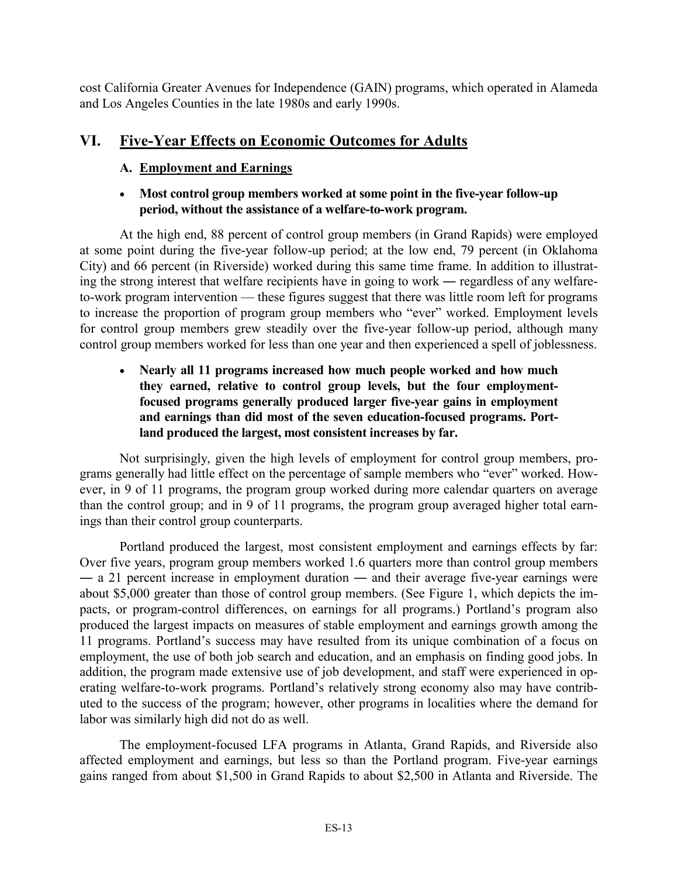cost California Greater Avenues for Independence (GAIN) programs, which operated in Alameda and Los Angeles Counties in the late 1980s and early 1990s.

# **VI. Five-Year Effects on Economic Outcomes for Adults**

# **A. Employment and Earnings**

# - **Most control group members worked at some point in the five-year follow-up period, without the assistance of a welfare-to-work program.**

 At the high end, 88 percent of control group members (in Grand Rapids) were employed at some point during the five-year follow-up period; at the low end, 79 percent (in Oklahoma City) and 66 percent (in Riverside) worked during this same time frame. In addition to illustrating the strong interest that welfare recipients have in going to work ― regardless of any welfareto-work program intervention — these figures suggest that there was little room left for programs to increase the proportion of program group members who "ever" worked. Employment levels for control group members grew steadily over the five-year follow-up period, although many control group members worked for less than one year and then experienced a spell of joblessness.

- **Nearly all 11 programs increased how much people worked and how much they earned, relative to control group levels, but the four employmentfocused programs generally produced larger five-year gains in employment and earnings than did most of the seven education-focused programs. Portland produced the largest, most consistent increases by far.** 

 Not surprisingly, given the high levels of employment for control group members, programs generally had little effect on the percentage of sample members who "ever" worked. However, in 9 of 11 programs, the program group worked during more calendar quarters on average than the control group; and in 9 of 11 programs, the program group averaged higher total earnings than their control group counterparts.

 Portland produced the largest, most consistent employment and earnings effects by far: Over five years, program group members worked 1.6 quarters more than control group members ― a 21 percent increase in employment duration ― and their average five-year earnings were about \$5,000 greater than those of control group members. (See Figure 1, which depicts the impacts, or program-control differences, on earnings for all programs.) Portland's program also produced the largest impacts on measures of stable employment and earnings growth among the 11 programs. Portland's success may have resulted from its unique combination of a focus on employment, the use of both job search and education, and an emphasis on finding good jobs. In addition, the program made extensive use of job development, and staff were experienced in operating welfare-to-work programs. Portland's relatively strong economy also may have contributed to the success of the program; however, other programs in localities where the demand for labor was similarly high did not do as well.

 The employment-focused LFA programs in Atlanta, Grand Rapids, and Riverside also affected employment and earnings, but less so than the Portland program. Five-year earnings gains ranged from about \$1,500 in Grand Rapids to about \$2,500 in Atlanta and Riverside. The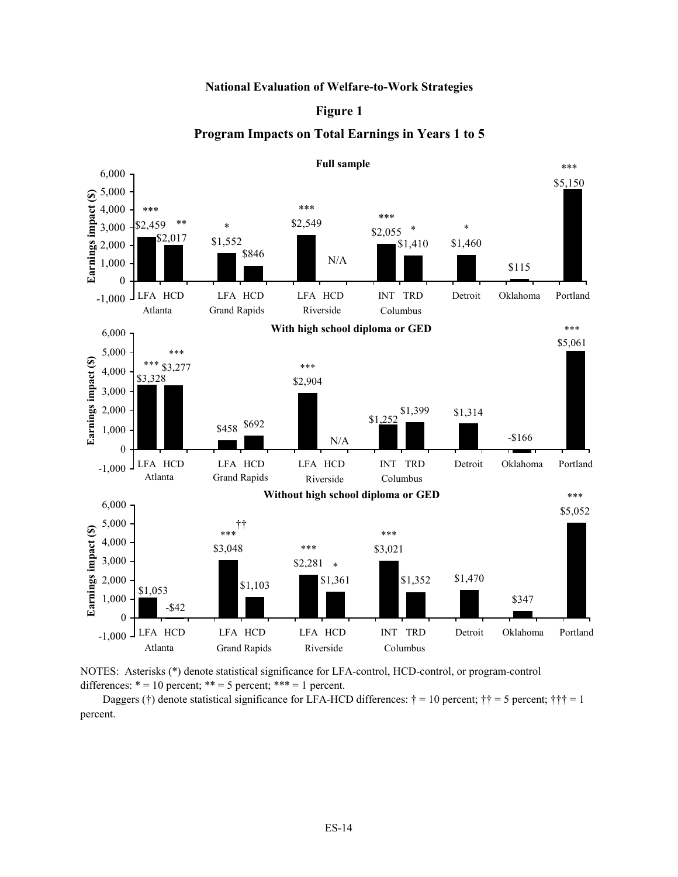#### **National Evaluation of Welfare-to-Work Strategies**

#### **Figure 1**

### **Program Impacts on Total Earnings in Years 1 to 5**





 Daggers (†) denote statistical significance for LFA-HCD differences: † = 10 percent; †† = 5 percent; ††† = 1 percent.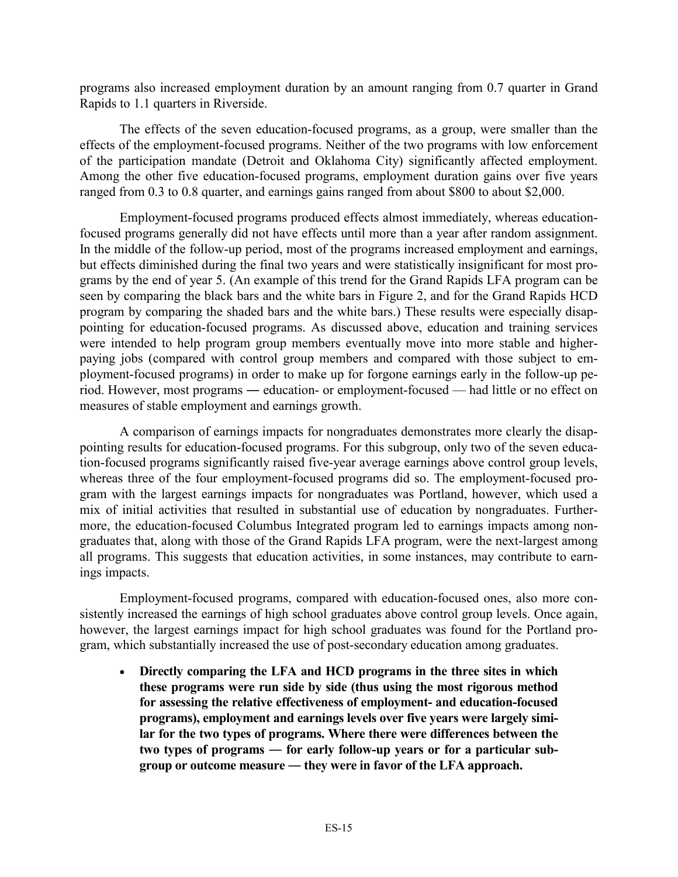programs also increased employment duration by an amount ranging from 0.7 quarter in Grand Rapids to 1.1 quarters in Riverside.

 The effects of the seven education-focused programs, as a group, were smaller than the effects of the employment-focused programs. Neither of the two programs with low enforcement of the participation mandate (Detroit and Oklahoma City) significantly affected employment. Among the other five education-focused programs, employment duration gains over five years ranged from 0.3 to 0.8 quarter, and earnings gains ranged from about \$800 to about \$2,000.

 Employment-focused programs produced effects almost immediately, whereas educationfocused programs generally did not have effects until more than a year after random assignment. In the middle of the follow-up period, most of the programs increased employment and earnings, but effects diminished during the final two years and were statistically insignificant for most programs by the end of year 5. (An example of this trend for the Grand Rapids LFA program can be seen by comparing the black bars and the white bars in Figure 2, and for the Grand Rapids HCD program by comparing the shaded bars and the white bars.) These results were especially disappointing for education-focused programs. As discussed above, education and training services were intended to help program group members eventually move into more stable and higherpaying jobs (compared with control group members and compared with those subject to employment-focused programs) in order to make up for forgone earnings early in the follow-up period. However, most programs ― education- or employment-focused — had little or no effect on measures of stable employment and earnings growth.

 A comparison of earnings impacts for nongraduates demonstrates more clearly the disappointing results for education-focused programs. For this subgroup, only two of the seven education-focused programs significantly raised five-year average earnings above control group levels, whereas three of the four employment-focused programs did so. The employment-focused program with the largest earnings impacts for nongraduates was Portland, however, which used a mix of initial activities that resulted in substantial use of education by nongraduates. Furthermore, the education-focused Columbus Integrated program led to earnings impacts among nongraduates that, along with those of the Grand Rapids LFA program, were the next-largest among all programs. This suggests that education activities, in some instances, may contribute to earnings impacts.

 Employment-focused programs, compared with education-focused ones, also more consistently increased the earnings of high school graduates above control group levels. Once again, however, the largest earnings impact for high school graduates was found for the Portland program, which substantially increased the use of post-secondary education among graduates.

- **Directly comparing the LFA and HCD programs in the three sites in which these programs were run side by side (thus using the most rigorous method for assessing the relative effectiveness of employment- and education-focused programs), employment and earnings levels over five years were largely similar for the two types of programs. Where there were differences between the two types of programs ― for early follow-up years or for a particular subgroup or outcome measure ― they were in favor of the LFA approach.**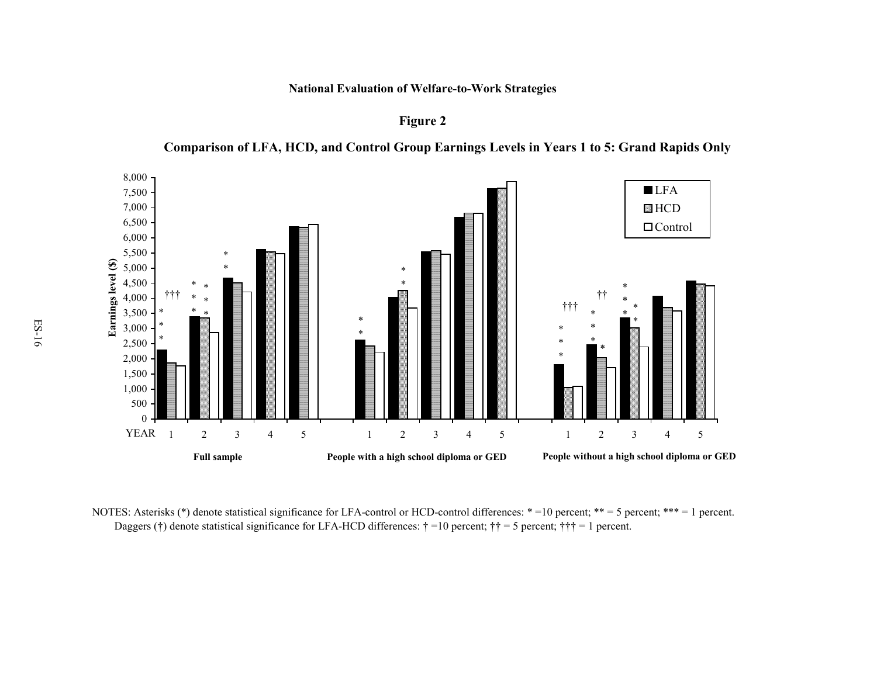**National Evaluation of Welfare-to-Work Strategies**

**Figure 2**

**Comparison of LFA, HCD, and Control Group Earnings Levels in Years 1 to 5: Grand Rapids Only**



NOTES: Asterisks (\*) denote statistical significance for LFA-control or HCD-control differences: \* =10 percent; \*\* = 5 percent; \*\*\* = 1 percent. Daggers (†) denote statistical significance for LFA-HCD differences:  $\dagger$  =10 percent;  $\dagger$  + = 5 percent;  $\dagger$  + + = 1 percent.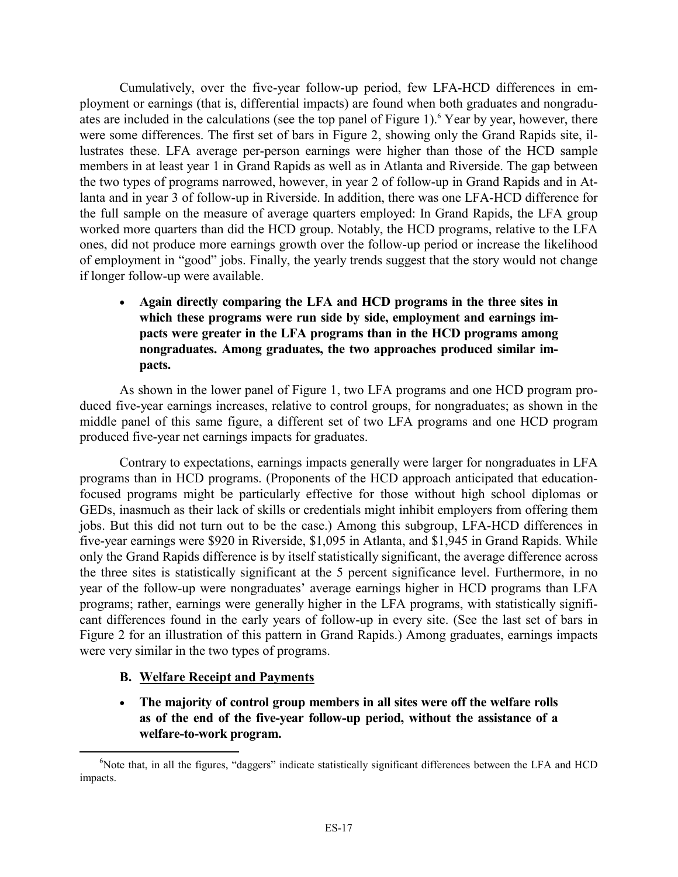Cumulatively, over the five-year follow-up period, few LFA-HCD differences in employment or earnings (that is, differential impacts) are found when both graduates and nongraduates are included in the calculations (see the top panel of Figure 1).<sup>6</sup> Year by year, however, there were some differences. The first set of bars in Figure 2, showing only the Grand Rapids site, illustrates these. LFA average per-person earnings were higher than those of the HCD sample members in at least year 1 in Grand Rapids as well as in Atlanta and Riverside. The gap between the two types of programs narrowed, however, in year 2 of follow-up in Grand Rapids and in Atlanta and in year 3 of follow-up in Riverside. In addition, there was one LFA-HCD difference for the full sample on the measure of average quarters employed: In Grand Rapids, the LFA group worked more quarters than did the HCD group. Notably, the HCD programs, relative to the LFA ones, did not produce more earnings growth over the follow-up period or increase the likelihood of employment in "good" jobs. Finally, the yearly trends suggest that the story would not change if longer follow-up were available.

- **Again directly comparing the LFA and HCD programs in the three sites in which these programs were run side by side, employment and earnings impacts were greater in the LFA programs than in the HCD programs among nongraduates. Among graduates, the two approaches produced similar impacts.** 

 As shown in the lower panel of Figure 1, two LFA programs and one HCD program produced five-year earnings increases, relative to control groups, for nongraduates; as shown in the middle panel of this same figure, a different set of two LFA programs and one HCD program produced five-year net earnings impacts for graduates.

 Contrary to expectations, earnings impacts generally were larger for nongraduates in LFA programs than in HCD programs. (Proponents of the HCD approach anticipated that educationfocused programs might be particularly effective for those without high school diplomas or GEDs, inasmuch as their lack of skills or credentials might inhibit employers from offering them jobs. But this did not turn out to be the case.) Among this subgroup, LFA-HCD differences in five-year earnings were \$920 in Riverside, \$1,095 in Atlanta, and \$1,945 in Grand Rapids. While only the Grand Rapids difference is by itself statistically significant, the average difference across the three sites is statistically significant at the 5 percent significance level. Furthermore, in no year of the follow-up were nongraduates' average earnings higher in HCD programs than LFA programs; rather, earnings were generally higher in the LFA programs, with statistically significant differences found in the early years of follow-up in every site. (See the last set of bars in Figure 2 for an illustration of this pattern in Grand Rapids.) Among graduates, earnings impacts were very similar in the two types of programs.

## **B. Welfare Receipt and Payments**

- **The majority of control group members in all sites were off the welfare rolls as of the end of the five-year follow-up period, without the assistance of a welfare-to-work program.** 

 <sup>6</sup> <sup>6</sup>Note that, in all the figures, "daggers" indicate statistically significant differences between the LFA and HCD impacts.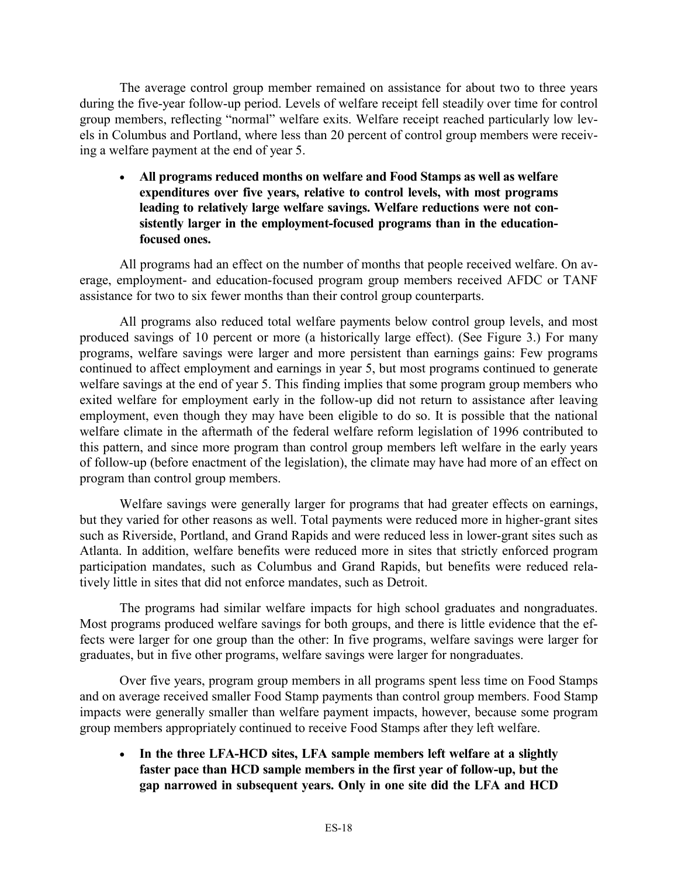The average control group member remained on assistance for about two to three years during the five-year follow-up period. Levels of welfare receipt fell steadily over time for control group members, reflecting "normal" welfare exits. Welfare receipt reached particularly low levels in Columbus and Portland, where less than 20 percent of control group members were receiving a welfare payment at the end of year 5.

- **All programs reduced months on welfare and Food Stamps as well as welfare expenditures over five years, relative to control levels, with most programs leading to relatively large welfare savings. Welfare reductions were not consistently larger in the employment-focused programs than in the educationfocused ones.** 

 All programs had an effect on the number of months that people received welfare. On average, employment- and education-focused program group members received AFDC or TANF assistance for two to six fewer months than their control group counterparts.

 All programs also reduced total welfare payments below control group levels, and most produced savings of 10 percent or more (a historically large effect). (See Figure 3.) For many programs, welfare savings were larger and more persistent than earnings gains: Few programs continued to affect employment and earnings in year 5, but most programs continued to generate welfare savings at the end of year 5. This finding implies that some program group members who exited welfare for employment early in the follow-up did not return to assistance after leaving employment, even though they may have been eligible to do so. It is possible that the national welfare climate in the aftermath of the federal welfare reform legislation of 1996 contributed to this pattern, and since more program than control group members left welfare in the early years of follow-up (before enactment of the legislation), the climate may have had more of an effect on program than control group members.

 Welfare savings were generally larger for programs that had greater effects on earnings, but they varied for other reasons as well. Total payments were reduced more in higher-grant sites such as Riverside, Portland, and Grand Rapids and were reduced less in lower-grant sites such as Atlanta. In addition, welfare benefits were reduced more in sites that strictly enforced program participation mandates, such as Columbus and Grand Rapids, but benefits were reduced relatively little in sites that did not enforce mandates, such as Detroit.

 The programs had similar welfare impacts for high school graduates and nongraduates. Most programs produced welfare savings for both groups, and there is little evidence that the effects were larger for one group than the other: In five programs, welfare savings were larger for graduates, but in five other programs, welfare savings were larger for nongraduates.

 Over five years, program group members in all programs spent less time on Food Stamps and on average received smaller Food Stamp payments than control group members. Food Stamp impacts were generally smaller than welfare payment impacts, however, because some program group members appropriately continued to receive Food Stamps after they left welfare.

• In the three LFA-HCD sites, LFA sample members left welfare at a slightly **faster pace than HCD sample members in the first year of follow-up, but the gap narrowed in subsequent years. Only in one site did the LFA and HCD**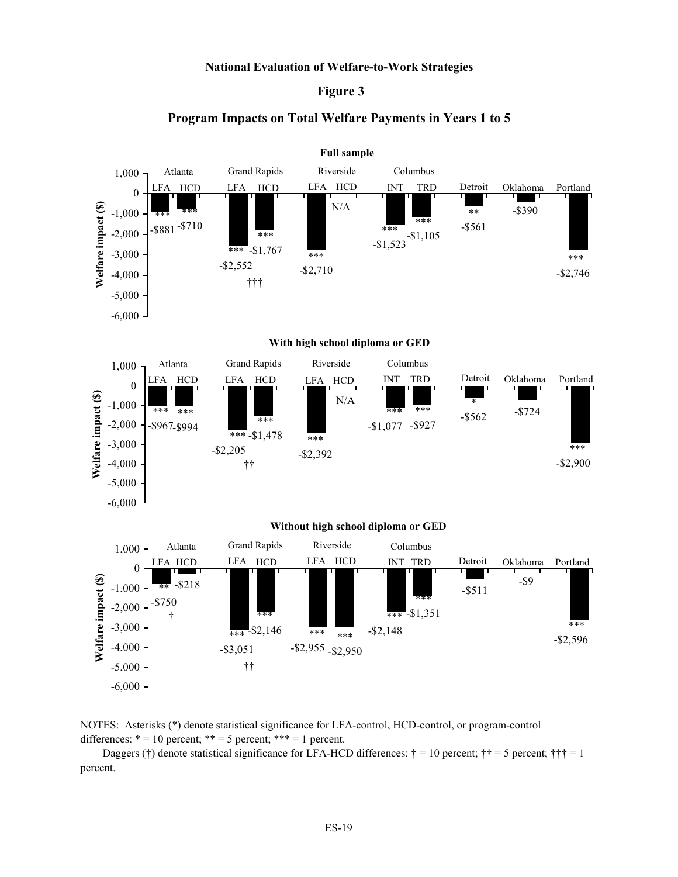#### **National Evaluation of Welfare-to-Work Strategies**

### **Figure 3**

### **Program Impacts on Total Welfare Payments in Years 1 to 5**



NOTES: Asterisks (\*) denote statistical significance for LFA-control, HCD-control, or program-control differences:  $* = 10$  percent;  $** = 5$  percent;  $*** = 1$  percent.

Daggers (†) denote statistical significance for LFA-HCD differences:  $\dagger = 10$  percent;  $\dagger \dagger = 5$  percent;  $\dagger \dagger \dagger = 1$ percent.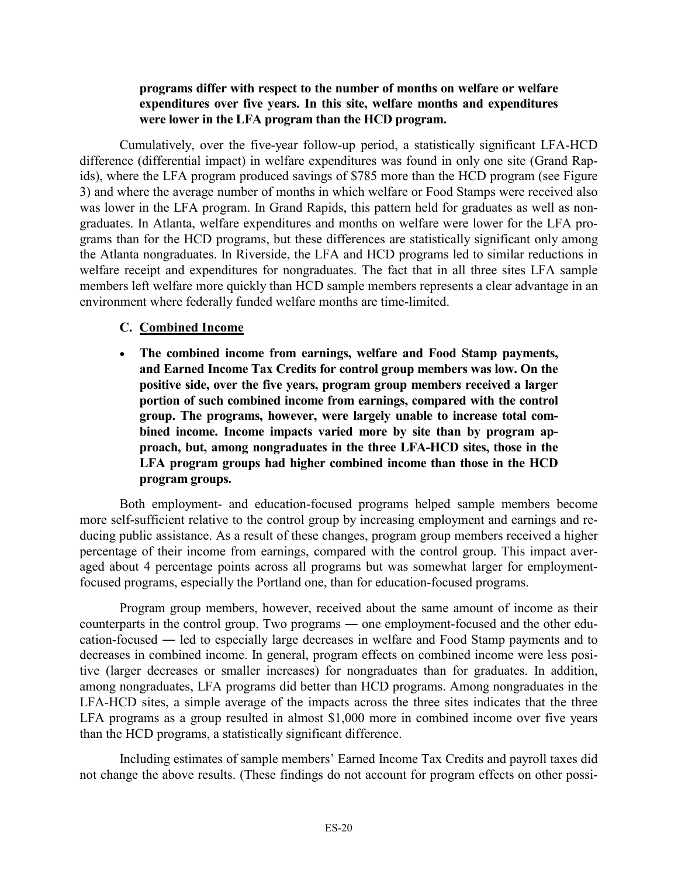### **programs differ with respect to the number of months on welfare or welfare expenditures over five years. In this site, welfare months and expenditures were lower in the LFA program than the HCD program.**

 Cumulatively, over the five-year follow-up period, a statistically significant LFA-HCD difference (differential impact) in welfare expenditures was found in only one site (Grand Rapids), where the LFA program produced savings of \$785 more than the HCD program (see Figure 3) and where the average number of months in which welfare or Food Stamps were received also was lower in the LFA program. In Grand Rapids, this pattern held for graduates as well as nongraduates. In Atlanta, welfare expenditures and months on welfare were lower for the LFA programs than for the HCD programs, but these differences are statistically significant only among the Atlanta nongraduates. In Riverside, the LFA and HCD programs led to similar reductions in welfare receipt and expenditures for nongraduates. The fact that in all three sites LFA sample members left welfare more quickly than HCD sample members represents a clear advantage in an environment where federally funded welfare months are time-limited.

# **C. Combined Income**

- **The combined income from earnings, welfare and Food Stamp payments, and Earned Income Tax Credits for control group members was low. On the positive side, over the five years, program group members received a larger portion of such combined income from earnings, compared with the control group. The programs, however, were largely unable to increase total combined income. Income impacts varied more by site than by program approach, but, among nongraduates in the three LFA-HCD sites, those in the LFA program groups had higher combined income than those in the HCD program groups.** 

 Both employment- and education-focused programs helped sample members become more self-sufficient relative to the control group by increasing employment and earnings and reducing public assistance. As a result of these changes, program group members received a higher percentage of their income from earnings, compared with the control group. This impact averaged about 4 percentage points across all programs but was somewhat larger for employmentfocused programs, especially the Portland one, than for education-focused programs.

 Program group members, however, received about the same amount of income as their counterparts in the control group. Two programs ― one employment-focused and the other education-focused ― led to especially large decreases in welfare and Food Stamp payments and to decreases in combined income. In general, program effects on combined income were less positive (larger decreases or smaller increases) for nongraduates than for graduates. In addition, among nongraduates, LFA programs did better than HCD programs. Among nongraduates in the LFA-HCD sites, a simple average of the impacts across the three sites indicates that the three LFA programs as a group resulted in almost \$1,000 more in combined income over five years than the HCD programs, a statistically significant difference.

 Including estimates of sample members' Earned Income Tax Credits and payroll taxes did not change the above results. (These findings do not account for program effects on other possi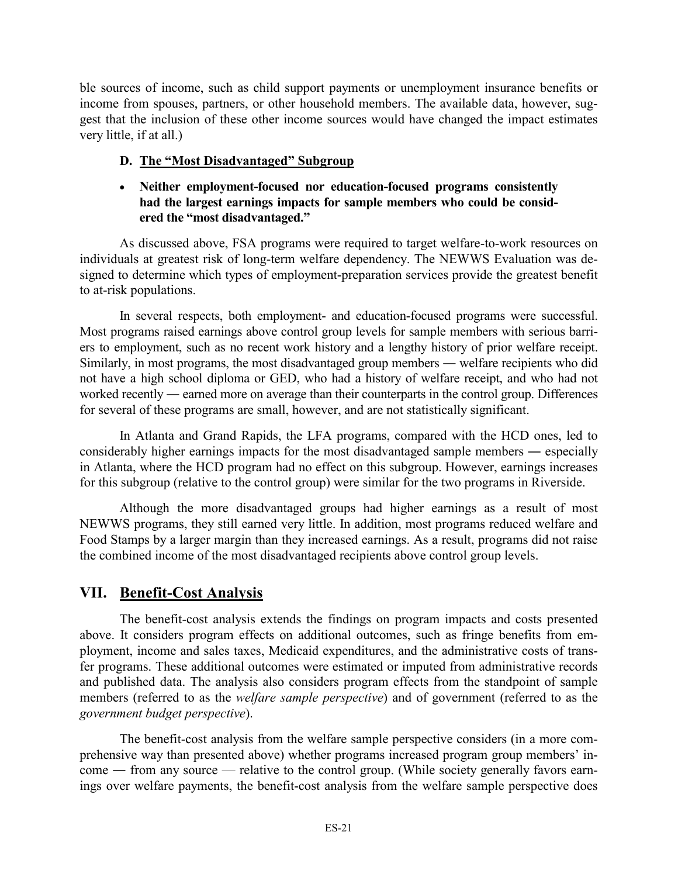ble sources of income, such as child support payments or unemployment insurance benefits or income from spouses, partners, or other household members. The available data, however, suggest that the inclusion of these other income sources would have changed the impact estimates very little, if at all.)

# **D. The "Most Disadvantaged" Subgroup**

# - **Neither employment-focused nor education-focused programs consistently had the largest earnings impacts for sample members who could be considered the "most disadvantaged."**

 As discussed above, FSA programs were required to target welfare-to-work resources on individuals at greatest risk of long-term welfare dependency. The NEWWS Evaluation was designed to determine which types of employment-preparation services provide the greatest benefit to at-risk populations.

 In several respects, both employment- and education-focused programs were successful. Most programs raised earnings above control group levels for sample members with serious barriers to employment, such as no recent work history and a lengthy history of prior welfare receipt. Similarly, in most programs, the most disadvantaged group members ― welfare recipients who did not have a high school diploma or GED, who had a history of welfare receipt, and who had not worked recently ― earned more on average than their counterparts in the control group. Differences for several of these programs are small, however, and are not statistically significant.

 In Atlanta and Grand Rapids, the LFA programs, compared with the HCD ones, led to considerably higher earnings impacts for the most disadvantaged sample members ― especially in Atlanta, where the HCD program had no effect on this subgroup. However, earnings increases for this subgroup (relative to the control group) were similar for the two programs in Riverside.

 Although the more disadvantaged groups had higher earnings as a result of most NEWWS programs, they still earned very little. In addition, most programs reduced welfare and Food Stamps by a larger margin than they increased earnings. As a result, programs did not raise the combined income of the most disadvantaged recipients above control group levels.

# **VII. Benefit-Cost Analysis**

 The benefit-cost analysis extends the findings on program impacts and costs presented above. It considers program effects on additional outcomes, such as fringe benefits from employment, income and sales taxes, Medicaid expenditures, and the administrative costs of transfer programs. These additional outcomes were estimated or imputed from administrative records and published data. The analysis also considers program effects from the standpoint of sample members (referred to as the *welfare sample perspective*) and of government (referred to as the *government budget perspective*).

 The benefit-cost analysis from the welfare sample perspective considers (in a more comprehensive way than presented above) whether programs increased program group members' income ― from any source — relative to the control group. (While society generally favors earnings over welfare payments, the benefit-cost analysis from the welfare sample perspective does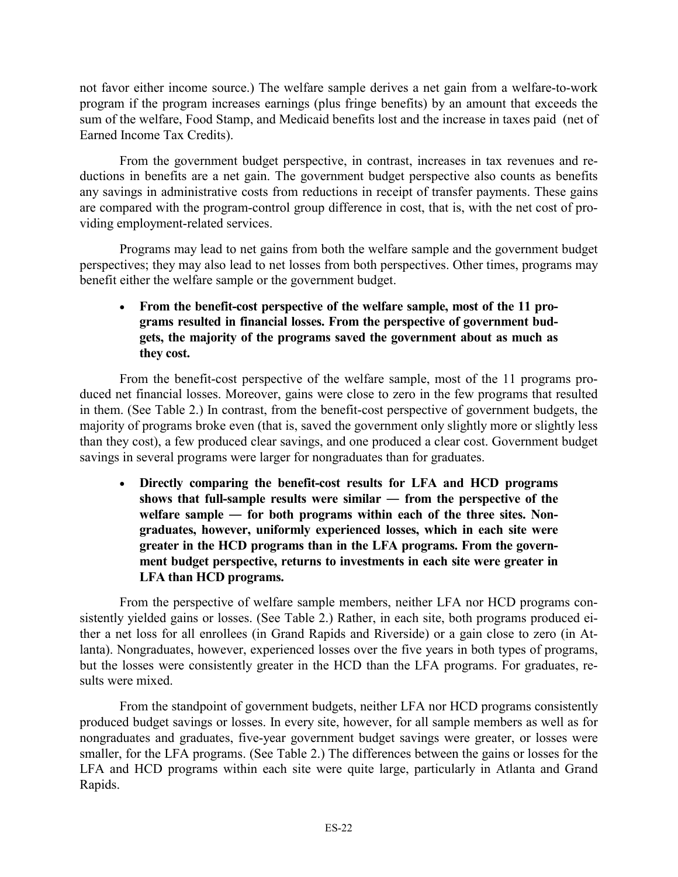not favor either income source.) The welfare sample derives a net gain from a welfare-to-work program if the program increases earnings (plus fringe benefits) by an amount that exceeds the sum of the welfare, Food Stamp, and Medicaid benefits lost and the increase in taxes paid (net of Earned Income Tax Credits).

 From the government budget perspective, in contrast, increases in tax revenues and reductions in benefits are a net gain. The government budget perspective also counts as benefits any savings in administrative costs from reductions in receipt of transfer payments. These gains are compared with the program-control group difference in cost, that is, with the net cost of providing employment-related services.

 Programs may lead to net gains from both the welfare sample and the government budget perspectives; they may also lead to net losses from both perspectives. Other times, programs may benefit either the welfare sample or the government budget.

# - **From the benefit-cost perspective of the welfare sample, most of the 11 programs resulted in financial losses. From the perspective of government budgets, the majority of the programs saved the government about as much as they cost.**

 From the benefit-cost perspective of the welfare sample, most of the 11 programs produced net financial losses. Moreover, gains were close to zero in the few programs that resulted in them. (See Table 2.) In contrast, from the benefit-cost perspective of government budgets, the majority of programs broke even (that is, saved the government only slightly more or slightly less than they cost), a few produced clear savings, and one produced a clear cost. Government budget savings in several programs were larger for nongraduates than for graduates.

- **Directly comparing the benefit-cost results for LFA and HCD programs shows that full-sample results were similar ― from the perspective of the**  welfare sample — for both programs within each of the three sites. Non**graduates, however, uniformly experienced losses, which in each site were greater in the HCD programs than in the LFA programs. From the government budget perspective, returns to investments in each site were greater in LFA than HCD programs.** 

 From the perspective of welfare sample members, neither LFA nor HCD programs consistently yielded gains or losses. (See Table 2.) Rather, in each site, both programs produced either a net loss for all enrollees (in Grand Rapids and Riverside) or a gain close to zero (in Atlanta). Nongraduates, however, experienced losses over the five years in both types of programs, but the losses were consistently greater in the HCD than the LFA programs. For graduates, results were mixed.

 From the standpoint of government budgets, neither LFA nor HCD programs consistently produced budget savings or losses. In every site, however, for all sample members as well as for nongraduates and graduates, five-year government budget savings were greater, or losses were smaller, for the LFA programs. (See Table 2.) The differences between the gains or losses for the LFA and HCD programs within each site were quite large, particularly in Atlanta and Grand Rapids.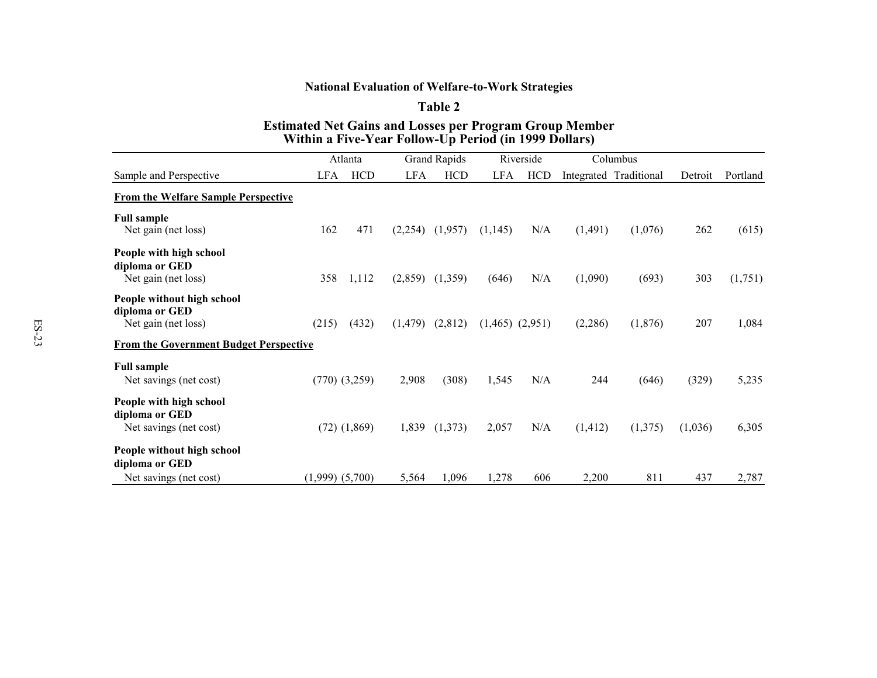### **National Evaluation of Welfare-to-Work Strategies**

#### **Table 2**

#### **Estimated Net Gains and Losses per Program Group Member Within a Five-Year Follow-Up Period (in 1999 Dollars)**

|                                                                        | Atlanta             |                   | Grand Rapids |            | Riverside | Columbus            |          |                        |         |          |
|------------------------------------------------------------------------|---------------------|-------------------|--------------|------------|-----------|---------------------|----------|------------------------|---------|----------|
| Sample and Perspective                                                 | <b>LFA</b>          | <b>HCD</b>        | <b>LFA</b>   | <b>HCD</b> | LFA       | <b>HCD</b>          |          | Integrated Traditional | Detroit | Portland |
| <b>From the Welfare Sample Perspective</b>                             |                     |                   |              |            |           |                     |          |                        |         |          |
| <b>Full sample</b><br>Net gain (net loss)                              | 162                 | 471               | (2,254)      | (1,957)    | (1,145)   | N/A                 | (1, 491) | (1,076)                | 262     | (615)    |
| People with high school<br>diploma or GED<br>Net gain (net loss)       | 358                 | 1,112             | (2,859)      | (1,359)    | (646)     | N/A                 | (1,090)  | (693)                  | 303     | (1,751)  |
| People without high school<br>diploma or GED<br>Net gain (net loss)    | (215)               | (432)             | (1, 479)     | (2,812)    |           | $(1,465)$ $(2,951)$ | (2,286)  | (1,876)                | 207     | 1,084    |
| <b>From the Government Budget Perspective</b>                          |                     |                   |              |            |           |                     |          |                        |         |          |
| <b>Full sample</b><br>Net savings (net cost)                           |                     | $(770)$ $(3,259)$ | 2,908        | (308)      | 1,545     | N/A                 | 244      | (646)                  | (329)   | 5,235    |
| People with high school<br>diploma or GED<br>Net savings (net cost)    |                     | $(72)$ $(1,869)$  | 1,839        | (1,373)    | 2,057     | N/A                 | (1, 412) | (1,375)                | (1,036) | 6,305    |
| People without high school<br>diploma or GED<br>Net savings (net cost) | $(1,999)$ $(5,700)$ |                   | 5,564        | 1,096      | 1,278     | 606                 | 2,200    | 811                    | 437     | 2,787    |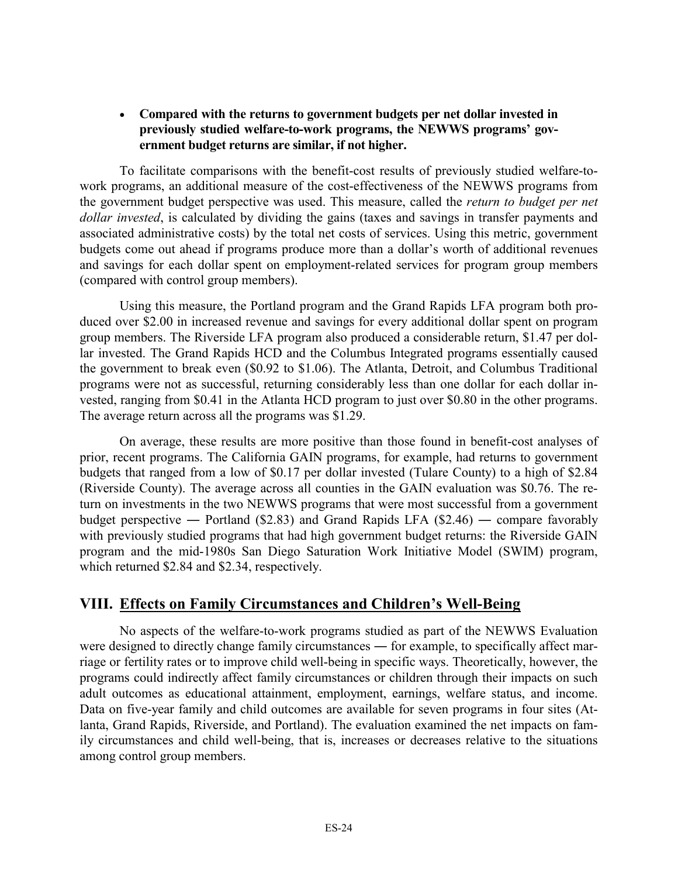## - **Compared with the returns to government budgets per net dollar invested in previously studied welfare-to-work programs, the NEWWS programs' government budget returns are similar, if not higher.**

 To facilitate comparisons with the benefit-cost results of previously studied welfare-towork programs, an additional measure of the cost-effectiveness of the NEWWS programs from the government budget perspective was used. This measure, called the *return to budget per net dollar invested*, is calculated by dividing the gains (taxes and savings in transfer payments and associated administrative costs) by the total net costs of services. Using this metric, government budgets come out ahead if programs produce more than a dollar's worth of additional revenues and savings for each dollar spent on employment-related services for program group members (compared with control group members).

 Using this measure, the Portland program and the Grand Rapids LFA program both produced over \$2.00 in increased revenue and savings for every additional dollar spent on program group members. The Riverside LFA program also produced a considerable return, \$1.47 per dollar invested. The Grand Rapids HCD and the Columbus Integrated programs essentially caused the government to break even (\$0.92 to \$1.06). The Atlanta, Detroit, and Columbus Traditional programs were not as successful, returning considerably less than one dollar for each dollar invested, ranging from \$0.41 in the Atlanta HCD program to just over \$0.80 in the other programs. The average return across all the programs was \$1.29.

 On average, these results are more positive than those found in benefit-cost analyses of prior, recent programs. The California GAIN programs, for example, had returns to government budgets that ranged from a low of \$0.17 per dollar invested (Tulare County) to a high of \$2.84 (Riverside County). The average across all counties in the GAIN evaluation was \$0.76. The return on investments in the two NEWWS programs that were most successful from a government budget perspective — Portland (\$2.83) and Grand Rapids LFA (\$2.46) — compare favorably with previously studied programs that had high government budget returns: the Riverside GAIN program and the mid-1980s San Diego Saturation Work Initiative Model (SWIM) program, which returned \$2.84 and \$2.34, respectively.

# **VIII. Effects on Family Circumstances and Children's Well-Being**

 No aspects of the welfare-to-work programs studied as part of the NEWWS Evaluation were designed to directly change family circumstances — for example, to specifically affect marriage or fertility rates or to improve child well-being in specific ways. Theoretically, however, the programs could indirectly affect family circumstances or children through their impacts on such adult outcomes as educational attainment, employment, earnings, welfare status, and income. Data on five-year family and child outcomes are available for seven programs in four sites (Atlanta, Grand Rapids, Riverside, and Portland). The evaluation examined the net impacts on family circumstances and child well-being, that is, increases or decreases relative to the situations among control group members.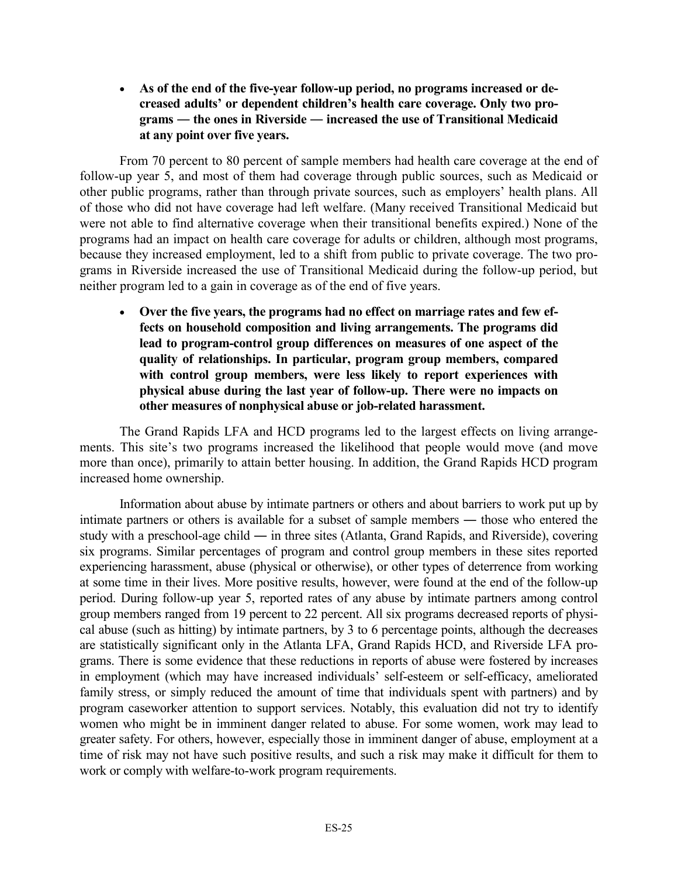- **As of the end of the five-year follow-up period, no programs increased or decreased adults' or dependent children's health care coverage. Only two programs ― the ones in Riverside ― increased the use of Transitional Medicaid at any point over five years.** 

 From 70 percent to 80 percent of sample members had health care coverage at the end of follow-up year 5, and most of them had coverage through public sources, such as Medicaid or other public programs, rather than through private sources, such as employers' health plans. All of those who did not have coverage had left welfare. (Many received Transitional Medicaid but were not able to find alternative coverage when their transitional benefits expired.) None of the programs had an impact on health care coverage for adults or children, although most programs, because they increased employment, led to a shift from public to private coverage. The two programs in Riverside increased the use of Transitional Medicaid during the follow-up period, but neither program led to a gain in coverage as of the end of five years.

- **Over the five years, the programs had no effect on marriage rates and few effects on household composition and living arrangements. The programs did lead to program-control group differences on measures of one aspect of the quality of relationships. In particular, program group members, compared with control group members, were less likely to report experiences with physical abuse during the last year of follow-up. There were no impacts on other measures of nonphysical abuse or job-related harassment.** 

 The Grand Rapids LFA and HCD programs led to the largest effects on living arrangements. This site's two programs increased the likelihood that people would move (and move more than once), primarily to attain better housing. In addition, the Grand Rapids HCD program increased home ownership.

 Information about abuse by intimate partners or others and about barriers to work put up by intimate partners or others is available for a subset of sample members ― those who entered the study with a preschool-age child ― in three sites (Atlanta, Grand Rapids, and Riverside), covering six programs. Similar percentages of program and control group members in these sites reported experiencing harassment, abuse (physical or otherwise), or other types of deterrence from working at some time in their lives. More positive results, however, were found at the end of the follow-up period. During follow-up year 5, reported rates of any abuse by intimate partners among control group members ranged from 19 percent to 22 percent. All six programs decreased reports of physical abuse (such as hitting) by intimate partners, by 3 to 6 percentage points, although the decreases are statistically significant only in the Atlanta LFA, Grand Rapids HCD, and Riverside LFA programs. There is some evidence that these reductions in reports of abuse were fostered by increases in employment (which may have increased individuals' self-esteem or self-efficacy, ameliorated family stress, or simply reduced the amount of time that individuals spent with partners) and by program caseworker attention to support services. Notably, this evaluation did not try to identify women who might be in imminent danger related to abuse. For some women, work may lead to greater safety. For others, however, especially those in imminent danger of abuse, employment at a time of risk may not have such positive results, and such a risk may make it difficult for them to work or comply with welfare-to-work program requirements.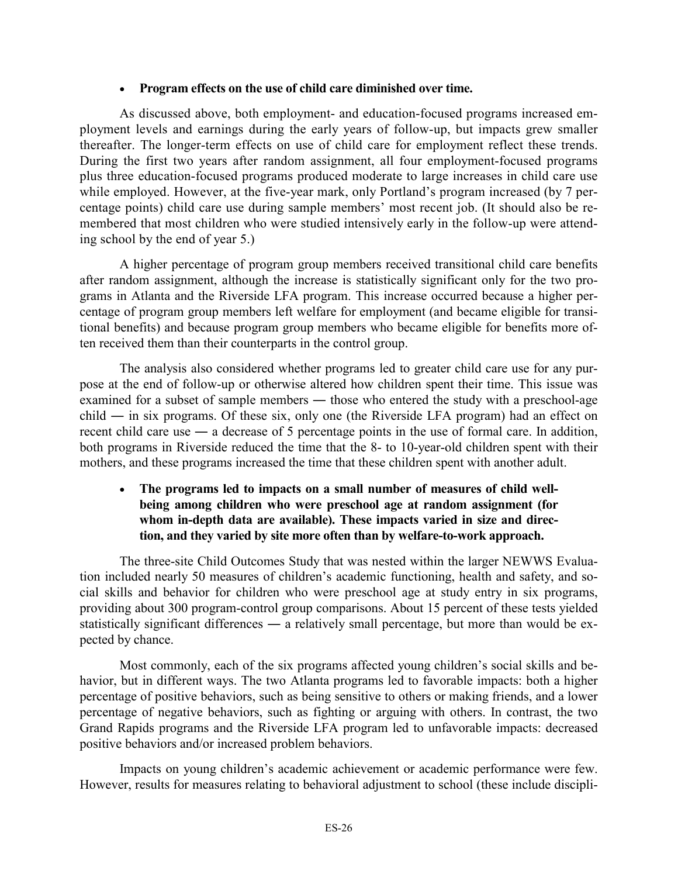### - **Program effects on the use of child care diminished over time.**

 As discussed above, both employment- and education-focused programs increased employment levels and earnings during the early years of follow-up, but impacts grew smaller thereafter. The longer-term effects on use of child care for employment reflect these trends. During the first two years after random assignment, all four employment-focused programs plus three education-focused programs produced moderate to large increases in child care use while employed. However, at the five-year mark, only Portland's program increased (by 7 percentage points) child care use during sample members' most recent job. (It should also be remembered that most children who were studied intensively early in the follow-up were attending school by the end of year 5.)

 A higher percentage of program group members received transitional child care benefits after random assignment, although the increase is statistically significant only for the two programs in Atlanta and the Riverside LFA program. This increase occurred because a higher percentage of program group members left welfare for employment (and became eligible for transitional benefits) and because program group members who became eligible for benefits more often received them than their counterparts in the control group.

 The analysis also considered whether programs led to greater child care use for any purpose at the end of follow-up or otherwise altered how children spent their time. This issue was examined for a subset of sample members — those who entered the study with a preschool-age child ― in six programs. Of these six, only one (the Riverside LFA program) had an effect on recent child care use ― a decrease of 5 percentage points in the use of formal care. In addition, both programs in Riverside reduced the time that the 8- to 10-year-old children spent with their mothers, and these programs increased the time that these children spent with another adult.

#### - **The programs led to impacts on a small number of measures of child wellbeing among children who were preschool age at random assignment (for whom in-depth data are available). These impacts varied in size and direction, and they varied by site more often than by welfare-to-work approach.**

 The three-site Child Outcomes Study that was nested within the larger NEWWS Evaluation included nearly 50 measures of children's academic functioning, health and safety, and social skills and behavior for children who were preschool age at study entry in six programs, providing about 300 program-control group comparisons. About 15 percent of these tests yielded statistically significant differences ― a relatively small percentage, but more than would be expected by chance.

 Most commonly, each of the six programs affected young children's social skills and behavior, but in different ways. The two Atlanta programs led to favorable impacts: both a higher percentage of positive behaviors, such as being sensitive to others or making friends, and a lower percentage of negative behaviors, such as fighting or arguing with others. In contrast, the two Grand Rapids programs and the Riverside LFA program led to unfavorable impacts: decreased positive behaviors and/or increased problem behaviors.

 Impacts on young children's academic achievement or academic performance were few. However, results for measures relating to behavioral adjustment to school (these include discipli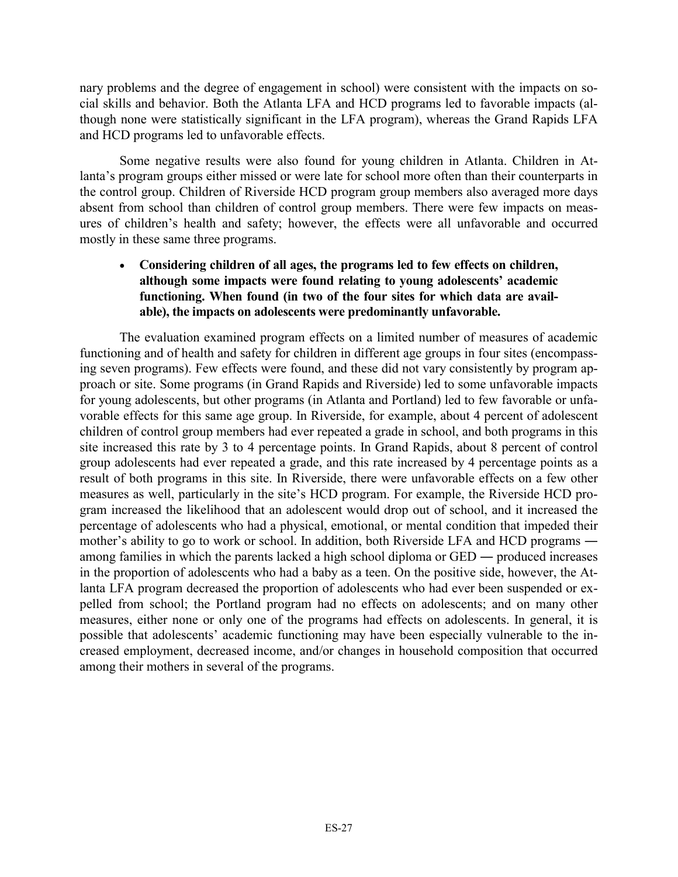nary problems and the degree of engagement in school) were consistent with the impacts on social skills and behavior. Both the Atlanta LFA and HCD programs led to favorable impacts (although none were statistically significant in the LFA program), whereas the Grand Rapids LFA and HCD programs led to unfavorable effects.

 Some negative results were also found for young children in Atlanta. Children in Atlanta's program groups either missed or were late for school more often than their counterparts in the control group. Children of Riverside HCD program group members also averaged more days absent from school than children of control group members. There were few impacts on measures of children's health and safety; however, the effects were all unfavorable and occurred mostly in these same three programs.

## - **Considering children of all ages, the programs led to few effects on children, although some impacts were found relating to young adolescents' academic functioning. When found (in two of the four sites for which data are available), the impacts on adolescents were predominantly unfavorable.**

 The evaluation examined program effects on a limited number of measures of academic functioning and of health and safety for children in different age groups in four sites (encompassing seven programs). Few effects were found, and these did not vary consistently by program approach or site. Some programs (in Grand Rapids and Riverside) led to some unfavorable impacts for young adolescents, but other programs (in Atlanta and Portland) led to few favorable or unfavorable effects for this same age group. In Riverside, for example, about 4 percent of adolescent children of control group members had ever repeated a grade in school, and both programs in this site increased this rate by 3 to 4 percentage points. In Grand Rapids, about 8 percent of control group adolescents had ever repeated a grade, and this rate increased by 4 percentage points as a result of both programs in this site. In Riverside, there were unfavorable effects on a few other measures as well, particularly in the site's HCD program. For example, the Riverside HCD program increased the likelihood that an adolescent would drop out of school, and it increased the percentage of adolescents who had a physical, emotional, or mental condition that impeded their mother's ability to go to work or school. In addition, both Riverside LFA and HCD programs ― among families in which the parents lacked a high school diploma or GED ― produced increases in the proportion of adolescents who had a baby as a teen. On the positive side, however, the Atlanta LFA program decreased the proportion of adolescents who had ever been suspended or expelled from school; the Portland program had no effects on adolescents; and on many other measures, either none or only one of the programs had effects on adolescents. In general, it is possible that adolescents' academic functioning may have been especially vulnerable to the increased employment, decreased income, and/or changes in household composition that occurred among their mothers in several of the programs.